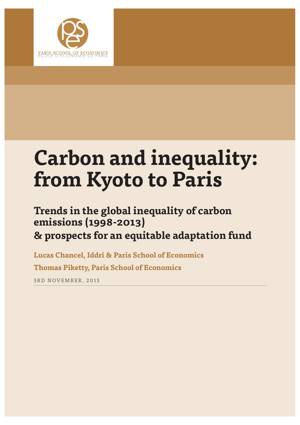

# **Carbon and inequality: from Kyoto to Paris**

## **Trends in the global inequality of carbon emissions (1998-2013) & prospects for an equitable adaptation fund**

**Lucas Chancel, Iddri & Paris School of Economics Thomas Piketty, Paris School of Economics**

3 RD NOVEMBER, 2015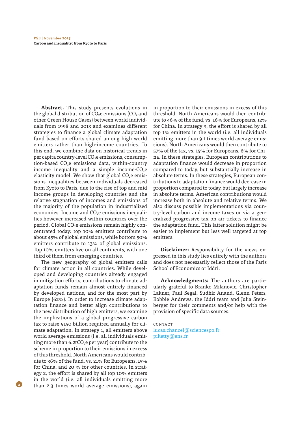**Abstract.** This study presents evolutions in the global distribution of  $CO<sub>2</sub>e$  emissions ( $CO<sub>2</sub>$  and other Green House Gases) between world individuals from 1998 and 2013 and examines diferent strategies to fnance a global climate adaptation fund based on efforts shared among high world emitters rather than high-income countries. To this end, we combine data on historical trends in per capita country-level CO<sub>2</sub>e emissions, consumption-based  $CO<sub>2</sub>e$  emissions data, within-country income inequality and a simple income- $CO<sub>2</sub>e$ elasticity model. We show that global  $CO<sub>2</sub>e$  emissions inequalities between individuals decreased from Kyoto to Paris, due to the rise of top and mid income groups in developing countries and the relative stagnation of incomes and emissions of the majority of the population in industrialized economies. Income and  $CO<sub>2</sub>e$  emissions inequalities however increased within countries over the period. Global CO<sub>2</sub>e emissions remain highly concentrated today: top 10% emitters contribute to about 45% of global emissions, while bottom 50% emitters contribute to 13% of global emissions. Top 10% emitters live on all continents, with one third of them from emerging countries.

The new geography of global emitters calls for climate action in all countries. While developed and developing countries already engaged in mitigation efforts, contributions to climate adaptation funds remain almost entirely fnanced by developed nations, and for the most part by Europe (62%). In order to increase climate adaptation fnance and better align contributions to the new distribution of high emitters, we examine the implications of a global progressive carbon tax to raise €150 billion required annually for climate adaptation. In strategy 1, all emitters above world average emissions (i.e. all individuals emitting more than 6.2tCO<sub>2</sub>e per year) contribute to the scheme in proportion to their emissions in excess of this threshold. North Americans would contribute to 36% of the fund, vs. 21% for Europeans, 15% for China, and 20 % for other countries. In strategy 2, the effort is shared by all top 10% emitters in the world (i.e. all individuals emitting more than 2.3 times world average emissions), again

**2**

in proportion to their emissions in excess of this threshold. North Americans would then contribute to 46% of the fund, vs. 16% for Europeans, 12% for China. In strategy 3, the effort is shared by all top 1% emitters in the world (i.e. all individuals emitting more than 9.1 times world average emissions). North Americans would then contribute to 57% of the tax, vs. 15% for Europeans, 6% for China. In these strategies, European contributions to adaptation fnance would decrease in proportion compared to today, but substantially increase in absolute terms. In these strategies, European contributions to adaptation fnance would decrease in proportion compared to today, but largely increase in absolute terms. American contributions would increase both in absolute and relative terms. We also discuss possible implementations via country-level carbon and income taxes or via a generalized progressive tax on air tickets to fnance the adaptation fund. This latter solution might be easier to implement but less well targeted at top emitters.

**Disclaimer:** Responsibility for the views expressed in this study lies entirely with the authors and does not necessarily refect those of the Paris School of Economics or Iddri.

**Acknowledgments:** The authors are particularly grateful to Branko Milanovic, Christopher Lakner, Paul Segal, Sudhir Anand, Glenn Peters, Robbie Andrews, the Iddri team and Julia Steinberger for their comments and/or help with the provision of specifc data sources.

**CONTACT** lucas.chancel@sciencespo.fr piketty@ens.fr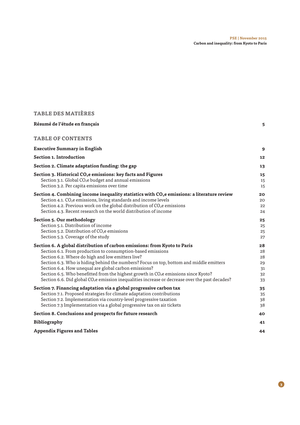| <b>TABLE DES MATIÈRES</b>                                                                                                                                                                                                                                                                                                                                                                                                                                                                                                                                           |                                        |
|---------------------------------------------------------------------------------------------------------------------------------------------------------------------------------------------------------------------------------------------------------------------------------------------------------------------------------------------------------------------------------------------------------------------------------------------------------------------------------------------------------------------------------------------------------------------|----------------------------------------|
| Résumé de l'étude en français                                                                                                                                                                                                                                                                                                                                                                                                                                                                                                                                       | 5                                      |
| <b>TABLE OF CONTENTS</b>                                                                                                                                                                                                                                                                                                                                                                                                                                                                                                                                            |                                        |
| <b>Executive Summary in English</b>                                                                                                                                                                                                                                                                                                                                                                                                                                                                                                                                 | 9                                      |
| Section 1. Introduction                                                                                                                                                                                                                                                                                                                                                                                                                                                                                                                                             | 12                                     |
| Section 2. Climate adaptation funding: the gap                                                                                                                                                                                                                                                                                                                                                                                                                                                                                                                      | 13                                     |
| Section 3. Historical CO <sub>2</sub> e emissions: key facts and Figures<br>Section 3.1. Global CO <sub>2</sub> e budget and annual emissions<br>Section 3.2. Per capita emissions over time                                                                                                                                                                                                                                                                                                                                                                        | 15<br>15<br>15                         |
| Section 4. Combining income inequality statistics with $CO2e$ emissions: a literature review<br>Section 4.1. CO <sub>2</sub> e emissions, living standards and income levels<br>Section 4.2. Previous work on the global distribution of $CO2e$ emissions<br>Section 4.3. Recent research on the world distribution of income                                                                                                                                                                                                                                       | 20<br>20<br>22<br>24                   |
| <b>Section 5. Our methodology</b><br>Section 5.1. Distribution of income<br>Section 5.2. Distribution of CO <sub>2</sub> e emissions<br>Section 5.3. Coverage of the study                                                                                                                                                                                                                                                                                                                                                                                          | 25<br>25<br>25<br>27                   |
| Section 6. A global distribution of carbon emissions: from Kyoto to Paris<br>Section 6.1. From production to consumption-based emissions<br>Section 6.2. Where do high and low emitters live?<br>Section 6.3. Who is hiding behind the numbers? Focus on top, bottom and middle emitters<br>Section 6.4. How unequal are global carbon emissions?<br>Section 6.5. Who benefitted from the highest growth in CO <sub>2</sub> e emissions since Kyoto?<br>Section 6.6. Did global CO <sub>2</sub> e emission inequalities increase or decrease over the past decades? | 28<br>28<br>28<br>29<br>31<br>32<br>33 |
| Section 7. Financing adaptation via a global progressive carbon tax<br>Section 7.1. Proposed strategies for climate adaptation contributions<br>Section 7.2. Implementation via country-level progressive taxation<br>Section 7.3 Implementation via a global progressive tax on air tickets                                                                                                                                                                                                                                                                        | 35<br>35<br>38<br>38                   |
| Section 8. Conclusions and prospects for future research                                                                                                                                                                                                                                                                                                                                                                                                                                                                                                            | 40                                     |
| <b>Bibliography</b>                                                                                                                                                                                                                                                                                                                                                                                                                                                                                                                                                 | 41                                     |
| <b>Appendix Figures and Tables</b>                                                                                                                                                                                                                                                                                                                                                                                                                                                                                                                                  | 44                                     |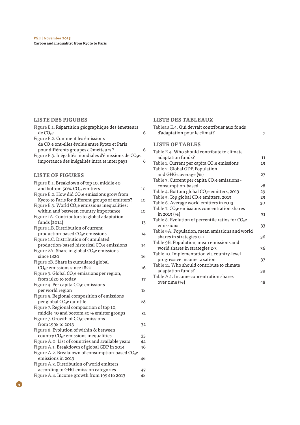## **LISTE DES FIGURES**

| Figure E.1. Répartition géographique des émetteurs                 |    |
|--------------------------------------------------------------------|----|
| de CO <sub>2</sub> e                                               | 6  |
| Figure E.2. Comment les émissions                                  |    |
| de CO <sub>2</sub> e ont-elles évolué entre Kyoto et Paris         |    |
| pour différents groupes d'émetteurs ?                              | 6  |
| Figure E.3. Inégalités mondiales d'émissions de CO <sub>2</sub> e: |    |
| importance des inégalités intra et inter pays                      | 6  |
|                                                                    |    |
| <b>LISTE OF FIGURES</b>                                            |    |
| Figure E.1. Breakdown of top 10, middle 40                         |    |
| and bottom 50% CO <sub>2e</sub> emitters                           | 10 |
| Figure E.2. How did CO <sub>2</sub> e emissions grow from          |    |
| Kyoto to Paris for different groups of emitters?                   | 10 |
| Figure E.3. World CO <sub>2</sub> e emissions inequalities:        |    |
| within and between country importance                              | 10 |
| Figure 1A. Contributors to global adaptation                       |    |
| funds (2014)                                                       | 13 |
| Figure 1.B. Distribution of current                                |    |
| production-based CO <sub>2</sub> e emissions                       | 14 |
| Figure 1.C. Distribution of cumulated                              |    |
| production-based historical CO <sub>2</sub> e emissions            | 14 |
| Figure 2A. Share in global CO <sub>2</sub> e emissions             |    |
| since 1820                                                         | 16 |
| Figure 2B. Share in cumulated global                               |    |
| $\mathrm{CO}_2$ e emissions since 1820                             | 16 |
| Figure 3. Global CO <sub>2</sub> e emissions per region,           |    |
| from 1820 to today                                                 | 17 |
| Figure 4. Per capita CO <sub>2</sub> e emissions                   |    |
| per world region                                                   | 18 |
| Figure 5. Regional composition of emissions                        |    |
| per global CO <sub>2</sub> e quintile.                             | 28 |
| Figure 7. Regional composition of top 10,                          |    |
| middle 40 and bottom 50% emitter groups                            | 31 |
| Figure 7. Growth of CO <sub>2</sub> e emissions                    |    |
| from 1998 to 2013                                                  | 32 |
| Figure 8. Evolution of within & between                            |    |
| country CO <sub>2</sub> e emissions inequalities                   | 33 |
| Figure A.o. List of countries and available years                  | 44 |
| Figure A.1. Breakdown of global GDP in 2014                        | 46 |
| Figure A.2. Breakdown of consumption-based CO <sub>2</sub> e       |    |
| emissions in 2013                                                  | 46 |
| Figure A.3. Distribution of world emitters                         |    |
| according to GHG emission categories                               | 47 |
| Figure A.4. Income growth from 1998 to 2013                        | 48 |

## **LISTE DES TABLEAUX**

| Tableau E.4. Qui devrait contribuer aux fonds<br>d'adaptation pour le climat? | 7  |
|-------------------------------------------------------------------------------|----|
| <b>LISTE OF TABLES</b>                                                        |    |
| Table E.4. Who should contribute to climate                                   |    |
| adaptation funds?                                                             | 11 |
| Table 1. Current per capita CO <sub>2</sub> e emissions                       | 19 |
| Table 2. Global GDP, Population                                               |    |
| and GHG coverage (%)                                                          | 27 |
| Table 3. Current per capita CO <sub>2</sub> e emissions -                     |    |
| consumption-based                                                             | 28 |
| Table 4. Bottom global CO <sub>2</sub> e emitters, 2013                       | 29 |
| Table 5. Top global CO <sub>2</sub> e emitters, 2013                          | 29 |
| Table 6. Average world emitters in 2013                                       | 30 |
| Table 7. CO <sub>2</sub> e emissions concentration shares                     |    |
| in 2013 (%)                                                                   | 31 |
| Table 8. Evolution of percentile ratios for CO <sub>2</sub> e                 |    |
| emissions                                                                     | 33 |
| Table 9A. Population, mean emissions and world                                |    |
| shares in strategies 0-1                                                      | 36 |
| Table 9B. Population, mean emissions and                                      |    |
| world shares in strategies 2-3                                                | 36 |
| Table 10. Implementation via country-level                                    |    |
| progressive income taxation                                                   | 37 |
| Table 11. Who should contribute to climate                                    |    |
| adaptation funds?                                                             | 39 |
| Table A.1. Income concentration shares                                        |    |
| over time (%)                                                                 | 48 |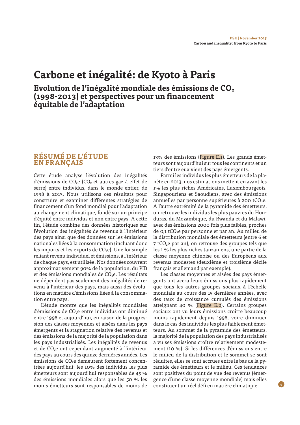## **Carbone et inégalité: de Kyoto à Paris**

Evolution de l'inégalité mondiale des émissions de CO<sub>2</sub> **(1998-2013) et perspectives pour un fnancement équitable de l'adaptation**

## **RÉSUMÉ DE L'ÉTUDE EN FRANÇAIS**

Cette étude analyse l'évolution des inégalités d'émissions de  $CO<sub>2</sub>e$  (CO<sub>2</sub> et autres gaz à effet de serre) entre individus, dans le monde entier, de 1998 à 2013. Nous utilisons ces résultats pour construire et examiner diférentes stratégies de fnancement d'un fond mondial pour l'adaptation au changement climatique, fondé sur un principe d'équité entre individus et non entre pays. A cette fn, l'étude combine des données historiques sur l'évolution des inégalités de revenus à l'intérieur des pays ainsi que des données sur les émissions nationales liées à la consommation (incluant donc les imports et les exports de  $CO<sub>2</sub>e$ ). Une loi simple reliant revenu individuel et émissions, à l'intérieur de chaque pays, est utilisée. Nos données couvrent approximativement 90% de la population, du PIB et des émissions mondiales de CO<sub>2</sub>e. Les résultats ne dépendent pas seulement des inégalités de revenu à l'intérieur des pays, mais aussi des évolutions en matière d'émissions liées à la consommation entre pays.

L'étude montre que les inégalités mondiales d'émissions de CO<sub>2</sub>e entre individus ont diminué entre 1998 et aujourd'hui, en raison de la progression des classes moyennes et aisées dans les pays émergents et la stagnation relative des revenus et des émissions de la majorité de la population dans les pays industrialisés. Les inégalités de revenus et de CO<sub>2</sub>e ont cependant augmenté à l'intérieur des pays au cours des quinze dernières années. Les émissions de  $CO<sub>2</sub>e$  demeurent fortement concentrées aujourd'hui: les 10% des individus les plus émetteurs sont aujourd'hui responsables de 45 % des émissions mondiales alors que les 50 % les moins émetteurs sont responsables de moins de 13% des émissions (Figure E.1). Les grands émetteurs sont aujourd'hui sur tous les continents et un tiers d'entre eux vient des pays émergents.

Parmi les individus les plus émetteurs de la planète en 2013, nos estimations mettent en avant les 1% les plus riches Américains, Luxembourgeois, Singapouriens et Saoudiens, avec des émissions annuelles par personne supérieures à 200 t $CO<sub>2</sub>e$ . A l'autre extrémité de la pyramide des émetteurs, on retrouve les individus les plus pauvres du Honduras, du Mozambique, du Rwanda et du Malawi, avec des émissions 2000 fois plus faibles, proches de 0,1 tCO<sub>2</sub>e par personne et par an. Au milieu de la distribution mondiale des émetteurs (entre 6 et 7 tCO2e par an), on retrouve des groupes tels que les 1 % les plus riches tanzaniens, une partie de la classe moyenne chinoise ou des Européens aux revenus modestes (deuxième et troisième décile français et allemand par exemple).

Les classes moyennes et aisées des pays émergents ont accru leurs émissions plus rapidement que tous les autres groupes sociaux à l'échelle mondiale au cours des 15 dernières années, avec des taux de croissance cumulés des émissions atteignant 40 % (Figure E.2). Certains groupes sociaux ont vu leurs émissions croître beaucoup moins rapidement depuis 1998, voire diminuer dans le cas des individus les plus faiblement émetteurs. Au sommet de la pyramide des émetteurs, la majorité de la population des pays industrialisés a vu ses émissions croître relativement modestement (10 %). Si les diférences d'émissions entre le milieu de la distribution et le sommet se sont réduites, elles se sont accrues entre le bas de la pyramide des émetteurs et le milieu. Ces tendances sont positives du point de vue des revenus (émergence d'une classe moyenne mondiale) mais elles constituent un réel défi en matière climatique.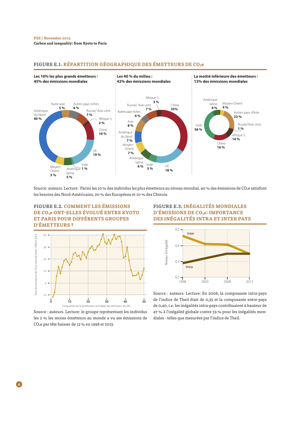#### **PSE | November 2015**

**Carbon and inequality: from Kyoto to Paris**



### **FIGURE E.1. RÉPARTITION GÉOGRAPHIQUE DES ÉMETTEURS DE CO2e**

Source: auteurs. Lecture : Parmi les 10 % des individus les plus émetteurs au niveau mondial, 40 % des émissions de CO<sub>2</sub>e satisfont les besoins des Nord-Américains, 20 % des Européens et 10 % des Chinois.



**FIGURE E.2. COMMENT LES ÉMISSIONS** 

Source : auteurs. Lecture: le groupe représentant les individus les 2 % les moins émetteurs au monde a vu ses émissions de CO2e par tête baisser de 12 % en 1998 et 2013.

**0 10 20 30 40 50**

Cinquantile de la distribution mondiale des émissions de GES

## **FIGURE E.3. INÉGALITÉS MONDIALES D'ÉMISSIONS DE CO2e: IMPORTANCE DES INÉGALITÉS INTRA ET INTER PAYS**



Source : auteurs. Lecture: En 2008, la composante intra-pays de l'indice de Theil était de 0,35 et la composante entre-pays de 0,40, i.e. les inégalités intra-pays contribuaient à hauteur de 47 % à l'inégalité globale contre 53 % pour les inégalités mondiales - telles que mesurées par l'indice de Theil.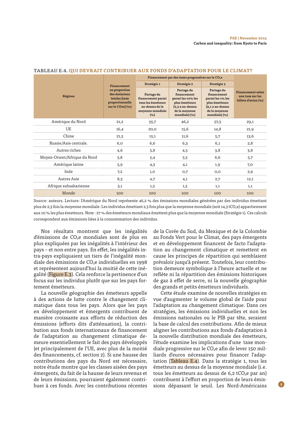|                              |                                                                                        | Financement par des taxes progressives sur le CO <sub>2</sub> e                                     |                                                                                                                        |                                                                                                                         |                                                                     |
|------------------------------|----------------------------------------------------------------------------------------|-----------------------------------------------------------------------------------------------------|------------------------------------------------------------------------------------------------------------------------|-------------------------------------------------------------------------------------------------------------------------|---------------------------------------------------------------------|
|                              | <b>Financement</b>                                                                     | Stratégie 1                                                                                         | Stratégie 2                                                                                                            | Stratégie 3                                                                                                             |                                                                     |
| <b>Régions</b>               | en proportion<br>des émissions<br>totales (taxe<br>proportionnelle<br>sur le CO2e) (%) | Partage du<br>financement parmi<br>tous les émetteurs<br>au-dessus de la<br>moyenne mondiale<br>(%) | Partage du<br>financement<br>parmi les 10% les<br>plus émetteurs<br>(2,3 x au-dessus<br>de la moyenne<br>mondiale) (%) | Partage du<br>financement<br>parmi les 1% les<br>plus émetteurs<br>$(9.1 x au-dessus$<br>de la moyenne<br>mondiale) (%) | <b>Financement selon</b><br>une taxe sur les<br>billets d'avion (%) |
| Amérique du Nord             | 21,2                                                                                   | 35,7                                                                                                | 46.2                                                                                                                   | 57,3                                                                                                                    | 29,1                                                                |
| <b>UE</b>                    | 16.4                                                                                   | 20,0                                                                                                | 15.6                                                                                                                   | 14,8                                                                                                                    | 21,9                                                                |
| Chine                        | 21,5                                                                                   | 15.1                                                                                                | 11,6                                                                                                                   | 5.7                                                                                                                     | 13,6                                                                |
| Russie/Asie centrale.        | 6,0                                                                                    | 6,6                                                                                                 | 6,3                                                                                                                    | 6,1                                                                                                                     | 2,8                                                                 |
| Autres riches                | 4,6                                                                                    | 5,8                                                                                                 | 4.5                                                                                                                    | 3,8                                                                                                                     | 3,8                                                                 |
| Moyen-Orient/Afrique du Nord | 5.8                                                                                    | 5.4                                                                                                 | 5.5                                                                                                                    | 6,6                                                                                                                     | 5,7                                                                 |
| Amérique latine              | 5.9                                                                                    | 4,3                                                                                                 | 4.1                                                                                                                    | 1.9                                                                                                                     | 7,0                                                                 |
| Inde                         | 7,2                                                                                    | 1,0                                                                                                 | 0.7                                                                                                                    | O, O                                                                                                                    | 2,9                                                                 |
| Autres Asie                  | 8.3                                                                                    | 4,7                                                                                                 | 4,1                                                                                                                    | 2,7                                                                                                                     | 12,1                                                                |
| Afrique subsaharienne        | 3.1                                                                                    | 1.5                                                                                                 | 1.5                                                                                                                    | 1.1                                                                                                                     | 1,1                                                                 |
| Monde                        | 100                                                                                    | 100                                                                                                 | 100                                                                                                                    | 100                                                                                                                     | 100                                                                 |

## **TABLEAU E.4. QUI DEVRAIT CONTRIBUER AUX FONDS D'ADAPTATION POUR LE CLIMAT?**

Source: auteurs. Lecture: l'Amérique du Nord représente 46,2 % des émissions mondiales générées par des individus émettant plus de 2,3 fois la moyenne mondiale. Les individus émettant 2,3 fois plus que la moyenne mondiale (soit 14,3 tCO<sub>2</sub>e) appartiennent aux 10 % les plus émetteurs. Note : 27 % des émetteurs mondiaux émettent plus que la moyenne mondiale (Stratégie 1). Ces calculs correspondent aux émissions liées à la consommation des individus.

Nos résultats montrent que les inégalités d'émissions de CO<sub>2</sub>e mondiales sont de plus en plus expliquées par les inégalités à l'intérieur des pays - et non entre pays. En effet, les inégalités intra-pays expliquaient un tiers de l'inégalité mondiale des émissions de  $CO<sub>2</sub>e$  individuelles en 1998 et représentent aujourd'hui la moitié de cette inégalité (Figure E.3). Cela renforce la pertinence d'un focus sur les individus plutôt que sur les pays fortement émetteurs.

La nouvelle géographie des émetteurs appelle à des actions de lutte contre le changement climatique dans tous les pays. Alors que les pays en développement et émergents contribuent de manière croissante aux efforts de réduction des émissions (eforts dits d'atténuation), la contribution aux fonds internationaux de fnancement de l'adaptation au changement climatique demeure essentiellement le fait des pays développés (et principalement de l'UE, avec plus de la moitié des fnancements, cf. section 2). Si une hausse des contributions des pays du Nord est nécessaire, notre étude montre que les classes aisées des pays émergents, du fait de la hausse de leurs revenus et de leurs émissions, pourraient également contribuer à ces fonds. Avec les contributions récentes

de la Corée du Sud, du Mexique et de la Colombie au Fonds Vert pour le Climat, des pays émergents et en développement fnancent de facto l'adaptation au changement climatique et remettent en cause les principes de répartition qui semblaient prévaloir jusqu'à présent. Toutefois, leur contribution demeure symbolique à l'heure actuelle et ne refète ni la répartition des émissions historiques de gaz à efet de serre, ni la nouvelle géographie des grands et petits émetteurs individuels.

Cette étude examine de nouvelles stratégies en vue d'augmenter le volume global de l'aide pour l'adaptation au changement climatique. Dans ces stratégies, les émissions individuelles et non les émissions nationales ou le PIB par tête, seraient la base de calcul des contributions. Afn de mieux aligner les contributions aux fonds d'adaptation à la nouvelle distribution mondiale des émetteurs, l'étude examine les implications d'une taxe mondiale progressive sur le  $CO<sub>2</sub>e$  afin de lever 150 milliards d'euros nécessaires pour fnancer l'adaptation (Tableau E.4). Dans la stratégie 1, tous les émetteurs au dessus de la moyenne mondiale (i.e. tous les émetteurs au dessus de 6,2 tCO<sub>2</sub>e par an) contribuent à l'effort en proportion de leurs émissions dépassant le seuil. Les Nord-Américains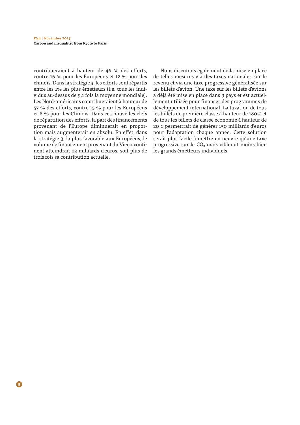**8**

contribueraient à hauteur de 46 % des efforts, contre 16 % pour les Européens et 12 % pour les chinois. Dans la stratégie 3, les efforts sont répartis entre les 1% les plus émetteurs (i.e. tous les individus au-dessus de 9,1 fois la moyenne mondiale). Les Nord-américains contribueraient à hauteur de 57 % des efforts, contre 15 % pour les Européens et 6 % pour les Chinois. Dans ces nouvelles clefs de répartition des efforts, la part des financements provenant de l'Europe diminuerait en proportion mais augmenterait en absolu. En effet, dans la stratégie 3, la plus favorable aux Européens, le volume de fnancement provenant du Vieux continent atteindrait 23 milliards d'euros, soit plus de trois fois sa contribution actuelle.

Nous discutons également de la mise en place de telles mesures via des taxes nationales sur le revenu et via une taxe progressive généralisée sur les billets d'avion. Une taxe sur les billets d'avions a déjà été mise en place dans 9 pays et est actuellement utilisée pour fnancer des programmes de développement international. La taxation de tous les billets de première classe à hauteur de 180 € et de tous les billets de classe économie à hauteur de 20 € permettrait de générer 150 milliards d'euros pour l'adaptation chaque année. Cette solution serait plus facile à mettre en oeuvre qu'une taxe progressive sur le  $CO<sub>2</sub>$  mais ciblerait moins bien les grands émetteurs individuels.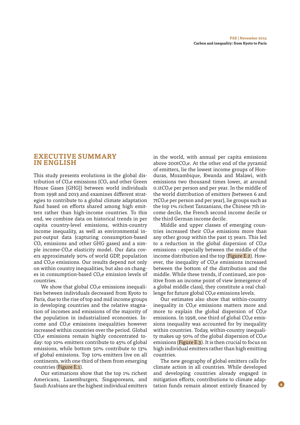## **EXECUTIVE SUMMARY IN ENGLISH**

This study presents evolutions in the global distribution of  $CO<sub>2</sub>e$  emissions ( $CO<sub>2</sub>$  and other Green House Gases [GHG]) between world individuals from 1998 and 2013 and examines diferent strategies to contribute to a global climate adaptation fund based on efforts shared among high emitters rather than high-income countries. To this end, we combine data on historical trends in per capita country-level emissions, within-country income inequality, as well as environmental input-output data (capturing consumption-based  $CO<sub>2</sub>$  emissions and other GHG gases) and a simple income-CO<sub>2</sub>e elasticity model. Our data covers approximately 90% of world GDP, population and CO<sub>2</sub>e emissions. Our results depend not only on within country inequalities, but also on changes in consumption-based  $CO<sub>2</sub>e$  emission levels of countries.

We show that global  $CO<sub>2</sub>e$  emissions inequalities between individuals decreased from Kyoto to Paris, due to the rise of top and mid income groups in developing countries and the relative stagnation of incomes and emissions of the majority of the population in industrialized economies. Income and CO<sub>2</sub>e emissions inequalities however increased within countries over the period. Global  $CO<sub>2</sub>e$  emissions remain highly concentrated today: top 10% emitters contribute to 45% of global emissions, while bottom 50% contribute to 13% of global emissions. Top 10% emitters live on all continents, with one third of them from emerging countries (Figure E.1).

Our estimations show that the top 1% richest Americans, Luxemburgers, Singaporeans, and Saudi Arabians are the highest individual emitters

in the world, with annual per capita emissions above 200t $CO<sub>2</sub>e$ . At the other end of the pyramid of emitters, lie the lowest income groups of Honduras, Mozambique, Rwanda and Malawi, with emissions two thousand times lower, at around  $0.1$ t $CO<sub>2</sub>e$  per person and per year. In the middle of the world distribution of emitters (between 6 and 7tCO<sub>2</sub>e per person and per year), lie groups such as the top 1% richest Tanzanians, the Chinese 7th income decile, the French second income decile or the third German income decile.

Middle and upper classes of emerging countries increased their  $CO<sub>2</sub>e$  emissions more than any other group within the past 15 years. This led to a reduction in the global dispersion of  $CO<sub>2</sub>e$ emissions - especially between the middle of the income distribution and the top (Figure E.2). However, the inequality of  $CO<sub>2</sub>e$  emissions increased between the bottom of the distribution and the middle. While these trends, if continued, are positive from an income point of view (emergence of a global middle class), they constitute a real challenge for future global  $CO<sub>2</sub>e$  emissions levels.

Our estimates also show that within-country inequality in  $CO<sub>2</sub>e$  emissions matters more and more to explain the global dispersion of  $CO<sub>2</sub>e$ emissions. In 1998, one third of global  $CO<sub>2</sub>e$  emissions inequality was accounted for by inequality within countries. Today, within-country inequality makes up 50% of the global dispersion of  $CO<sub>2</sub>e$ emissions (Figure E.3). It is then crucial to focus on high individual emitters rather than high emitting countries.

The new geography of global emitters calls for climate action in all countries. While developed and developing countries already engaged in mitigation efforts, contributions to climate adaptation funds remain almost entirely fnanced by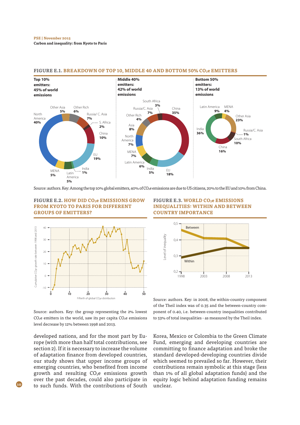#### **PSE | November 2015**

**Carbon and inequality: from Kyoto to Paris**



#### **FIGURE E.1. BREAKDOWN OF TOP 10, MIDDLE 40 AND BOTTOM 50% CO2e EMITTERS**

Source: authors. Key: Among the top 10% global emitters, 40% of CO<sub>2</sub>e emissions are due to US citizens, 20% to the EU and 10% from China.

#### **FIGURE E.2. HOW DID CO2e EMISSIONS GROW FROM KYOTO TO PARIS FOR DIFFERENT GROUPS OF EMITTERS?**



Source: authors. Key: the group representing the 2% lowest  $CO<sub>2</sub>e$  emitters in the world, saw its per capita  $CO<sub>2</sub>e$  emissions level decrease by 12% between 1998 and 2013.

developed nations, and for the most part by Europe (with more than half total contributions, see section 2). If it is necessary to increase the volume of adaptation fnance from developed countries, our study shows that upper income groups of emerging countries, who benefted from income growth and resulting  $CO<sub>2</sub>e$  emissions growth over the past decades, could also participate in to such funds. With the contributions of South

**10**

### **FIGURE E.3. WORLD CO2e EMISSIONS INEQUALITIES: WITHIN AND BETWEEN COUNTRY IMPORTANCE**



Source: authors. Key: in 2008, the within-country component of the Theil index was of 0.35 and the between-country component of 0.40, i.e. between-country inequalities contributed to 53% of total inequalities - as measured by the Theil index.

Korea, Mexico or Colombia to the Green Climate Fund, emerging and developing countries are committing to fnance adaptation and broke the standard developed-developing countries divide which seemed to prevailed so far. However, their contributions remain symbolic at this stage (less than 1% of all global adaptation funds) and the equity logic behind adaptation funding remains unclear.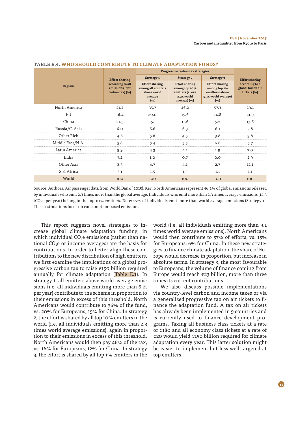|                  |                                                        | Progressive carbon tax strategies                                            |                                                                                         |                                                                                        |                                                    |
|------------------|--------------------------------------------------------|------------------------------------------------------------------------------|-----------------------------------------------------------------------------------------|----------------------------------------------------------------------------------------|----------------------------------------------------|
|                  | <b>Effort sharing</b>                                  | Strategy 1                                                                   | <b>Strategy 2</b>                                                                       | Strategy 3                                                                             | <b>Effort sharing</b>                              |
| <b>Regions</b>   | according to all<br>emissions (flat<br>carbon tax) (%) | <b>Effort sharing</b><br>among all emitters<br>above world<br>average<br>(%) | <b>Effort sharing</b><br>among top 10%<br>emitters (above<br>2.3x world<br>average) (%) | <b>Effort sharing</b><br>among top 1%<br>emitters (above<br>9.1x world average)<br>(%) | according to a<br>global tax on air<br>tickets (%) |
| North America    | 21.2                                                   | 35.7                                                                         | 46.2                                                                                    | 57.3                                                                                   | 29.1                                               |
| EU               | 16.4                                                   | 20.0                                                                         | 15.6                                                                                    | 14.8                                                                                   | 21.9                                               |
| China            | 21.5                                                   | 15.1                                                                         | 11.6                                                                                    | 5.7                                                                                    | 13.6                                               |
| Russia/C. Asia   | 6.0                                                    | 6.6                                                                          | 6.3                                                                                     | 6.1                                                                                    | 2.8                                                |
| Other Rich       | 4.6                                                    | 5.8                                                                          | 4.5                                                                                     | 3.8                                                                                    | 3.8                                                |
| Middle East/N.A. | 5.8                                                    | 5.4                                                                          | 5.5                                                                                     | 6.6                                                                                    | 5.7                                                |
| Latin America    | 5.9                                                    | 4.3                                                                          | 4.1                                                                                     | 1.9                                                                                    | 7.0                                                |
| India            | 7.2                                                    | 1.0                                                                          | O.7                                                                                     | 0.0                                                                                    | 2.9                                                |
| Other Asia       | 8.3                                                    | 4.7                                                                          | 4.1                                                                                     | 2.7                                                                                    | 12.1                                               |
| S.S. Africa      | 3.1                                                    | 1.5                                                                          | 1.5                                                                                     | 1.1                                                                                    | 1.1                                                |
| World            | 100                                                    | 100                                                                          | 100                                                                                     | 100                                                                                    | 100                                                |

#### **TABLE E.4. WHO SHOULD CONTRIBUTE TO CLIMATE ADAPTATION FUNDS?**

Source: Authors. Air passenger data from World Bank ( 2015). Key: North Americans represent 46.2% of global emissions released by individuals who emit 2.3 times more than the global average. Individuals who emit more than 2.3 times average emissions (14.3 tCO2e per year) belong to the top 10% emitters. Note: 27% of individuals emit more than world average emissions (Strategy 1). These estimations focus on consumption-based emissions.

This report suggests novel strategies to increase global climate adaptation funding, in which individual  $CO<sub>2</sub>e$  emissions (rather than national  $CO<sub>2</sub>e$  or income averages) are the basis for contributions. In order to better align these contributions to the new distribution of high emitters, we frst examine the implications of a global progressive carbon tax to raise €150 billion required annually for climate adaptation (Table E.1). In strategy 1, all emitters above world average emissions (i.e. all individuals emitting more than 6.2t per year) contribute to the scheme in proportion to their emissions in excess of this threshold. North Americans would contribute to 36% of the fund, vs. 20% for Europeans, 15% for China. In strategy 2, the effort is shared by all top 10% emitters in the world (i.e. all individuals emitting more than 2.3 times world average emissions), again in proportion to their emissions in excess of this threshold. North Americans would then pay 46% of the tax, vs. 16% for Europeans, 12% for China. In strategy 3, the efort is shared by all top 1% emitters in the

world (i.e. all individuals emitting more than 9.1 times world average emissions). North Americans would then contribute to 57% of efforts, vs. 15% for Europeans, 6% for China. In these new strategies to fnance climate adaptation, the share of Europe would decrease in proportion, but increase in absolute terms. In strategy 3, the most favourable to Europeans, the volume of fnance coming from Europe would reach  $\epsilon$ 23 billion, more than three times its current contributions.

We also discuss possible implementations via country-level carbon and income taxes or via a generalized progressive tax on air tickets to finance the adaptation fund. A tax on air tickets has already been implemented in 9 countries and is currently used to fnance development programs. Taxing all business class tickets at a rate of €180 and all economy class tickets at a rate of €20 would yield €150 billion required for climate adaptation every year. This latter solution might be easier to implement but less well targeted at top emitters.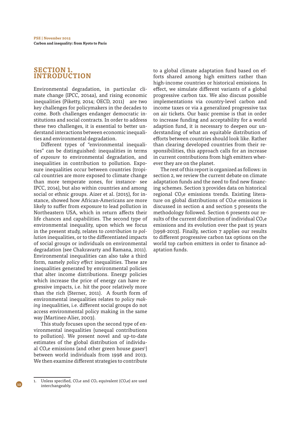## **SECTION 1. INTRODUCTION**

Environmental degradation, in particular climate change (IPCC, 2014a), and rising economic inequalities (Piketty, 2014; OECD, 2011) are two key challenges for policymakers in the decades to come. Both challenges endanger democratic institutions and social contracts. In order to address these two challenges, it is essential to better understand interactions between economic inequalities and environmental degradation.

Diferent types of "environmental inequalities" can be distinguished: inequalities in terms of exposure to environmental degradation, and inequalities in contribution to pollution. Exposure inequalities occur between countries (tropical countries are more exposed to climate change than more temperate zones, for instance- see IPCC, 2014), but also within countries and among social or ethnic groups. Aizer et al. (2015), for instance, showed how African-Americans are more likely to suffer from exposure to lead pollution in Northeastern USA, which in return affects their life chances and capabilities. The second type of environmental inequality, upon which we focus in the present study, relates to contribution to pollution inequalities, or to the diferentiated impacts of social groups or individuals on environmental degradation (see Chakravarty and Ramana, 2011). Environmental inequalities can also take a third form, namely policy effect inequalities. These are inequalities generated by environmental policies that alter income distributions. Energy policies which increase the price of energy can have regressive impacts, i.e. hit the poor relatively more than the rich (Sterner, 2011). A fourth form of environmental inequalities relates to policy making inequalities, i.e. diferent social groups do not access environmental policy making in the same way (Martinez-Alier, 2003).

This study focuses upon the second type of environmental inequalities (unequal contributions to pollution). We present novel and up-to-date estimates of the global distribution of individual CO<sub>2</sub>e emissions (and other green house gases<sup>1</sup>) between world individuals from 1998 and 2013. We then examine diferent strategies to contribute

to a global climate adaptation fund based on efforts shared among high emitters rather than high-income countries or historical emissions. In efect, we simulate diferent variants of a global progressive carbon tax. We also discuss possible implementations via country-level carbon and income taxes or via a generalized progressive tax on air tickets. Our basic premise is that in order to increase funding and acceptability for a world adaption fund, it is necessary to deepen our understanding of what an equitable distribution of efforts between countries should look like. Rather than clearing developed countries from their responsibilities, this approach calls for an increase in current contributions from high emitters wherever they are on the planet.

The rest of this report is organized as follows: in section 2, we review the current debate on climate adaptation funds and the need to fnd new fnancing schemes. Section 3 provides data on historical regional  $CO<sub>2</sub>e$  emissions trends. Existing literature on global distributions of  $CO<sub>2</sub>e$  emissions is discussed in section 4 and section 5 presents the methodology followed. Section 6 presents our results of the current distribution of individual  $CO<sub>2</sub>e$ emissions and its evolution over the past 15 years (1998-2013). Finally, section 7 applies our results to diferent progressive carbon tax options on the world top carbon emitters in order to fnance adaptation funds.

**<sup>12</sup>**

<sup>1.</sup> Unless specified,  $CO<sub>2</sub>e$  and  $CO<sub>2</sub>$  equivalent  $(CO<sub>2</sub>e)$  are used interchangeably.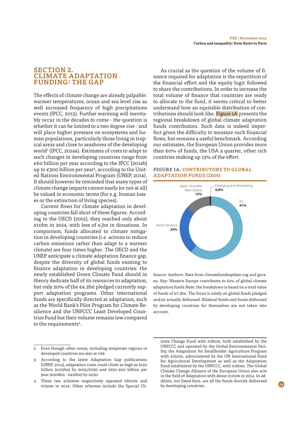## **SECTION 2. CLIMATE ADAPTATION FUNDING: THE GAP**

The effects of climate change are already palpable: warmer temperatures, ocean and sea level rise as well increased frequency of high precipitations events (IPCC, 2013). Further warming will inevitably occur in the decades to come - the question is whether it can be limited to a two degree rise - and will place higher pressure on ecosystems and human populations, particularly those living in tropical areas and close to seashores of the developing world<sup>2</sup> (IPCC, 2014a). Estimates of costs to adapt to such changes in developing countries range from €60 billion per year according to the IPCC (2014b) up to €300 billion per year<sup>3</sup>, according to the United Nations Environmental Program (UNEP, 2014). It should however be reminded that many types of climate change impacts cannot easily (or not at all) be valued in economic terms (for e.g. human losses or the extinction of living species).

Current flows for climate adaptation in developing countries fall short of these fgures. According to the OECD (2015), they reached only about  $\in$ 10bn in 2014, with less of  $\in$ <sub>2</sub>bn in donations. In comparison, funds allocated to climate mitigation in developing countries (i.e. actions to reduce carbon emissions rather than adapt to a warmer climate) are four times higher. The OECD and the UNEP anticipate a climate adaptation fnance gap, despite the diversity of global funds existing to fnance adaptation in developing countries: the newly established Green Climate Fund should in theory dedicate half of its resources to adaptation, but only 20% of the €4.3bn pledged currently support adaptation programs. Other international funds are specifcally directed at adaptation, such as the World Bank's Pilot Program for Climate Resilience and the UNFCCC Least Developed Countries Fund but their volume remains low compared to the requirements<sup>4</sup>.

As crucial as the question of the volume of finance required for adaptation is the repartition of the financial effort and the equity logic followed to share the contributions. In order to increase the total volume of fnance that countries are ready to allocate to the fund, it seems critical to better understand how an equitable distribution of contributions should look like. Figure 1A presents the regional breakdown of global climate adaptation funds contributors. Such data is indeed imperfect given the difficulty to measure such financial flows, but remains a useful benchmark. According our estimates, the European Union provides more than 60% of funds, the USA a quarter, other rich countries making up 13% of the effort.

## **FIGURE 1A. CONTRIBUTORS TO GLOBAL ADAPTATION FUNDS (2014)**



and **Russian Contract Contract Contract Contract Contract Contract Contract Contract Contract Contract Contract Contract Contract Contract Contract Contract Contract Contract Contract Contract Contract Contract Contract Co** of funds of €7.5bn. The focus is solely on global funds pledged account. eu. Key: Western Europe contributes to 61% of global climate **8%** adaptation funds.Note: the breakdown is based on a total value Other Rich **5%** and/or actually disbursed. Bilateral funds and funds disbursed Source: Authors. Data from climatefundsupdate.org and gcca. by developing countries for themselves are not taken into

<sup>2.</sup> Even though other zones, including temperate regions in developed countries are also at risk.

<sup>3.</sup> According to the latest Adaptation Gap publications (UNEP, 2014), adaptation costs could climb as high as \$150 billion (€125bn) by 2025/2030 and \$250-500 billion per year (€208bn - €416bn) by 2050.

<sup>4.</sup> These two schemes respectively operated €800m and €750m in 2014. Other schemes include the Special Cli-

India UNFCCC and operated by the Global Environmental Faci-References  $\mathbf{r}$ . . . . .<br>. . . . **8%** with €250m, administered by the UN International Fund  $\overline{a}$ **16%** mate Change Fund with €280m, both established by the by developing countries. lity, the Adaptation for Smallholder Agriculture Program for Agricultural Development as well as the Adaptation Fund established by the UNFCCC, with €180m. The Global Climate Change Alliance of the European Union also acts in the feld of Adaptation with about €120m in 2014. In addition, not listed here, are all the funds directly disbursed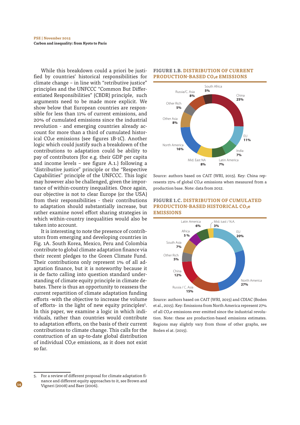While this breakdown could a priori be justifed by countries' historical responsibilities for climate change – in line with "retributive justice" principles and the UNFCCC "Common But Diferentiated Responsibilities" (CBDR) principle, such arguments need to be made more explicit. We show below that European countries are responsible for less than 11% of current emissions, and 20% of cumulated emissions since the industrial revolution - and emerging countries already account for more than a third of cumulated historical  $CO<sub>2</sub>e$  emissions (see figures 1B-1C). Another logic which could justify such a breakdown of the contributions to adaptation could be ability to pay of contributors (for e.g. their GDP per capita and income levels – see fgure A.1.) following a "distributive justice" principle or the "Respective Capabilities" principle of the UNFCCC. This logic may however also be challenged, given the importance of within-country inequalities. Once again, our objective is not to clear Europe (or the USA) from their responsibilities - their contributions to adaptation should substantially increase, but rather examine novel effort sharing strategies in which within-country inequalities would also be taken into account.

It is interesting to note the presence of contributors from emerging and developing countries in Fig. 1A. South Korea, Mexico, Peru and Colombia contribute to global climate adaptation fnance via their recent pledges to the Green Climate Fund. Their contributions only represent 1% of all adaptation fnance, but it is noteworthy because it is de facto calling into question standard understanding of climate equity principle in climate debates. There is thus an opportunity to reassess the current repartition of climate adaptation funding eforts -with the objective to increase the volume of efforts- in the light of new equity principles<sup>5</sup>. In this paper, we examine a logic in which individuals, rather than countries would contribute to adaptation efforts, on the basis of their current contributions to climate change. This calls for the construction of an up-to-date global distribution of individual  $CO<sub>2</sub>e$  emissions, as it does not exist so far.

## **FIGURE 1.B. DISTRIBUTION OF CURRENT PRODUCTION-BASED CO2e EMISSIONS**



Source: authors based on CAIT (WRI, 2015). Key: China represents 25% of global  $CO<sub>2</sub>e$  emissions when measured from a production base. Note: data from 2012. me **16%**

#### EU **20% EMISSIONS** Africa **5 % PRODUCTION-BASED HISTORICAL CO2e 6% 3% FIGURE 1.C. DISTRIBUTION OF CUMULATED**



Source: authors based on CAIT (WRI, 2015) and CDIAC (Boden et al., 2015). Key: Emissions from North America represent 27% of all CO<sub>2</sub>e emissions ever emitted since the industrial revolution. Note: these are production-based emissions estimates. Regions may slightly vary from those of other graphs, see Boden el at. (2015).

<sup>5.</sup> For a review of different proposal for climate adaptation finance and diferent equity approaches to it, see Brown and Vigneri (2008) and Baer (2006).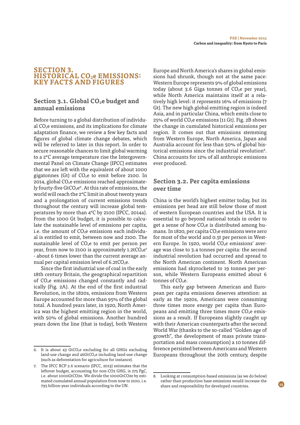## **SECTION 3. HISTORICAL CO2e EMISSIONS: KEY FACTS AND FIGURES**

## **Section 3.1. Global CO<sub>2</sub>e budget and annual emissions**

Before turning to a global distribution of individual  $CO<sub>2</sub>e$  emissions, and its implications for climate adaptation fnance, we review a few key facts and fgures of global climate change debates, which will be referred to later in this report. In order to secure reasonable chances to limit global warming to a 2°C average temperature rise the Intergovernmental Panel on Climate Change (IPCC) estimates that we are left with the equivalent of about 1000 gigatonnes (Gt) of  $CO<sub>2</sub>e$  to emit before 2100. In 2014, global  $CO<sub>2</sub>e$  emissions reached approximately fourty-five GtCO<sub>2</sub>e<sup>6</sup>. At this rate of emissions, the world will reach the 2°C limit in about twenty years and a prolongation of current emissions trends throughout the century will increase global temperatures by more than 4°C by 2100 (IPCC, 2014a). From the 1000 Gt budget, it is possible to calculate the sustainable level of emissions per capita, i.e. the amount of  $CO<sub>2</sub>e$  emissions each individual is entitled to emit, between now and 2100. The sustainable level of  $CO<sub>2</sub>e$  to emit per person per year, from now to 2100 is approximately  $1.2$ t $CO<sub>2</sub>e<sup>7</sup>$ - about 6 times lower than the current average annual per capital emission level of  $6.2$ t $CO<sub>2</sub>e$ .

Since the frst industrial use of coal in the early 18th century Britain, the geographical repartition of CO2e emissions changed constantly and radically (Fig. 2A). At the end of the frst industrial Revolution, in the 1820s, emissions from Western Europe accounted for more than 95% of the global total. A hundred years later, in 1920, North America was the highest emitting region in the world, with 50% of global emissions. Another hundred years down the line (that is today), both Western

6. It is about 43  $GtCO<sub>2</sub>e$  excluding for all  $GHGs$  excluding land-use change and 46GtCO<sub>2</sub>e including land-use change (such as deforestation for agriculture for instance).

Europe and North America's shares in global emissions had shrunk, though not at the same pace: Western Europe represents 9% of global emissions today (about 3.6 Giga tonnes of  $CO<sub>2</sub>e$  per year), while North America maintains itself at a relatively high level: it represents 16% of emissions (7 Gt). The new high global emitting region is indeed Asia, and in particular China, which emits close to 25% of world  $CO<sub>2</sub>e$  emissions (11 Gt). Fig. 2B shows the change in cumulated historical emissions per region. It comes out that emissions stemming from Western Europe, North America, Japan and Australia account for less than 50% of global historical emissions since the industrial revolution<sup>8</sup>. China accounts for 12% of all anthropic emissions ever produced.

## **Section 3.2. Per capita emissions over time**

China is the world's highest emitter today, but its emissions per head are still below those of most of western European countries and the USA. It is essential to go beyond national totals in order to get a sense of how  $CO<sub>2</sub>e$  is distributed among humans. In 1820, per capita  $CO<sub>2</sub>e$  emissions were zero for most of the world and 0.5t per person in Western Europe. In 1920, world  $CO<sub>2</sub>e$  emissions' average was close to 3.4 tonnes per capita: the second industrial revolution had occurred and spread to the North American continent. North American emissions had skyrocketed to 19 tonnes per person, while Western Europeans emitted about 6 tonnes of  $CO<sub>2</sub>e$ .

This early gap between American and European per capita emissions deserves attention: as early as the 1920s, Americans were consuming three times more energy per capita than Europeans and emitting three times more  $CO<sub>2</sub>e$  emissions as a result. If Europeans slightly caught up with their American counterparts after the second World War (thanks to the so-called "Golden age of growth", the development of mass private transportation and mass consumption) a 10 tonnes difference persisted between Americans and Western Europeans throughout the 20th century, despite

<sup>7.</sup> The IPCC RCP 2.6 scenario (IPCC, 2013) estimates that the leftover budget, accounting for non-CO2 GHG, is 275 PgC, i.e. about 1000GtCO2e. We divide the 1000GtCO2e by estimated cumulated annual population from now to 2100, i.e. 795 billion-year individuals according to the UN.

<sup>8.</sup> Looking at consumption-based emissions (as we do below) rather than production base emissions would increase the share and responsibility for developed countries.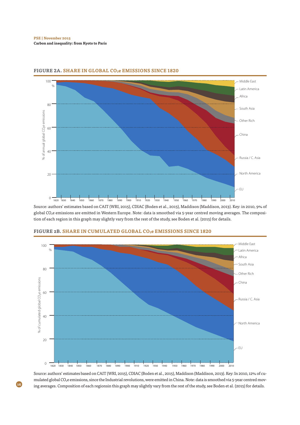**16**



#### **FIGURE 2A. SHARE IN GLOBAL CO2e EMISSIONS SINCE 1820** 80

Source: authors' estimates based on CAIT (WRI, 2015), CDIAC (Boden et al., 2015), Maddison (Maddison, 2013). Key: in 2010, 9% of global CO<sub>2</sub>e emissions are emitted in Western Europe. Note: data is smoothed via 5-year centred moving averages. The composition of each region in this graph may slightly vary from the rest of the study, see Boden et al. (2015) for details.



#### **FIGURE 2B. SHARE IN CUMULATED GLOBAL CO2e EMISSIONS SINCE 1820**

20 Source: authors' estimates based on CAIT (WRI, 2015), CDIAC (Boden et al., 2015), Maddison (Maddison, 2013). Key: In 2010, 12% of cumulated global CO<sub>2</sub>e emissions, since the Industrial revolutions, were emitted in China. Note: data is smoothed via 5-year centred moving averages. Composition of each regionsin this graph may slightly vary from the rest of the study, see Boden et al. (2015) for details.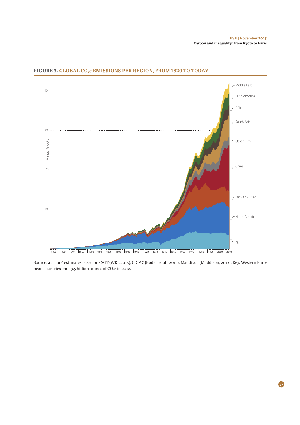

## **FIGURE 3. GLOBAL CO2e EMISSIONS PER REGION, FROM 1820 TO TODAY**

Source: authors' estimates based on CAIT (WRI, 2015), CDIAC (Boden et al., 2015), Maddison (Maddison, 2013). Key: Western European countries emit 3.5 billion tonnes of CO<sub>2</sub>e in 2012.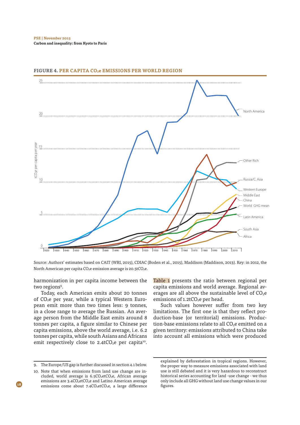

#### **FIGURE 4. PER CAPITA CO2e EMISSIONS PER WORLD REGION**

Source: Authors' estimates based on CAIT (WRI, 2015), CDIAC (Boden et al., 2015), Maddison (Maddison, 2013). Key: in 2012, the North American per capita  $CO<sub>2</sub>e$  emission average is 20.5t $CO<sub>2</sub>e$ .

harmonization in per capita income between the two regions<sup>9</sup>.

Today, each American emits about 20 tonnes of CO<sub>2</sub>e per year, while a typical Western European emit more than two times less: 9 tonnes, in a close range to average the Russian. An average person from the Middle East emits around 8 tonnes per capita, a fgure similar to Chinese per capita emissions, above the world average, i.e. 6.2 tonnes per capita, while south Asians and Africans emit respectively close to  $2.4$ t $CO<sub>2</sub>e$  per capita<sup>10</sup>.

Table 1 presents the ratio between regional per capita emissions and world average. Regional averages are all above the sustainable level of  $CO<sub>2</sub>e$ emissions of  $1.2$ t $CO<sub>2</sub>e$  per head.

Such values however suffer from two key limitations. The frst one is that they refect production-base (or territorial) emissions. Production-base emissions relate to all CO<sub>2</sub>e emitted on a given territory: emissions attributed to China take into account all emissions which were produced

The Europe/US gap is further discussed in section 4.1 below.

<sup>10.</sup> Note that when emissions from land use change are included, world average is 6.5CO<sub>2</sub>etCO<sub>2</sub>e, African average emissions are  $3.4CO<sub>2</sub>$ etCO<sub>2</sub>e and Latino American average emissions come about 7.4CO<sub>2</sub>etCO<sub>2</sub>e, a large difference

explained by deforestation in tropical regions. However, the proper way to measure emissions associated with land use is still debated and it is very hazardous to reconstruct historical series accounting for land -use change - we thus only include all GHG without land use change values in our fgures.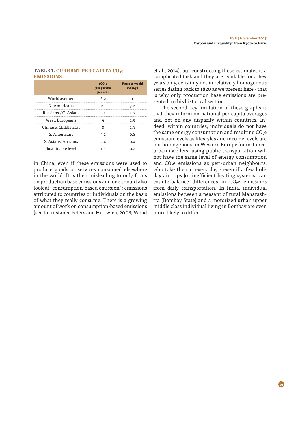#### **TABLE 1. CURRENT PER CAPITA CO<sub>2</sub>e EMISSIONS**

|                      | tCO <sub>se</sub><br>per person<br>per year | <b>Ratio to world</b><br>average |
|----------------------|---------------------------------------------|----------------------------------|
| World average        | 6.2                                         |                                  |
| N. Americans         | 20                                          | 3.2                              |
| Russians / C. Asians | 10                                          | 1.6                              |
| West. Europeans      | q                                           | 1.5                              |
| Chinese, Middle East |                                             | 1.3                              |
| S. Americans         | 5.2                                         | 0.8                              |
| S. Asians, Africans  | 2.4                                         | 0.4                              |
| Sustainable level    | 1.3                                         | ∩ י                              |

in China, even if these emissions were used to produce goods or services consumed elsewhere in the world. It is then misleading to only focus on production base emissions and one should also look at "consumption-based emission": emissions attributed to countries or individuals on the basis of what they really consume. There is a growing amount of work on consumption-based emissions (see for instance Peters and Hertwich, 2008; Wood et al., 2014), but constructing these estimates is a complicated task and they are available for a few years only, certainly not in relatively homogenous series dating back to 1820 as we present here - that is why only production base emissions are presented in this historical section.

The second key limitation of these graphs is that they inform on national per capita averages and not on any disparity within countries. Indeed, within countries, individuals do not have the same energy consumption and resulting  $CO<sub>2</sub>e$ emission levels as lifestyles and income levels are not homogenous: in Western Europe for instance, urban dwellers, using public transportation will not have the same level of energy consumption and  $CO<sub>2</sub>e$  emissions as peri-urban neighbours, who take the car every day - even if a few holiday air trips (or inefficient heating systems) can counterbalance differences in  $CO<sub>2</sub>e$  emissions from daily transportation. In India, individual emissions between a peasant of rural Maharashtra (Bombay State) and a motorized urban upper middle class individual living in Bombay are even more likely to difer.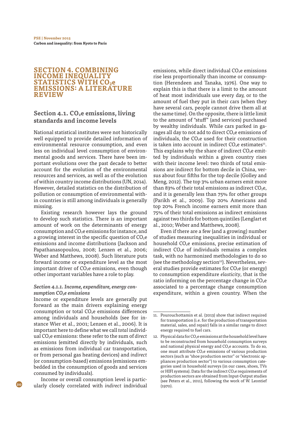## **SECTION 4. COMBINING INCOME INEQUALITY STATISTICS WITH CO2e EMISSIONS: A LITERATURE REVIEW**

## Section 4.1. CO<sub>2</sub>e emissions, living **standards and income levels**

National statistical institutes were not historically well equipped to provide detailed information of environmental resource consumption, and even less on individual level consumption of environmental goods and services. There have been important evolutions over the past decade to better account for the evolution of the environmental resources and services, as well as of the evolution of within country income distributions (UN, 2014). However, detailed statistics on the distribution of pollution or consumption of environmental within countries is still among individuals is generally missing.

Existing research however lays the ground to develop such statistics. There is an important amount of work on the determinants of energy consumption and CO<sub>2</sub>e emissions for instance, and a growing interest in the specific question of  $CO<sub>2</sub>e$ emissions and income distributions (Jackson and Papathanasopoulou, 2008; Lenzen et al., 2006; Weber and Matthews, 2008). Such literature puts forward income or expenditure level as the most important driver of  $CO<sub>2</sub>e$  emissions, even though other important variables have a role to play.

## **Section 4.1.1. Income, expenditure, energy con**sumption CO<sub>2</sub>e emissions

Income or expenditure levels are generally put forward as the main drivers explaining energy consumption or total  $CO<sub>2</sub>e$  emissions differences among individuals and households (see for instance Wier et al., 2001; Lenzen et al., 2006). It is important here to defne what we call total individual CO<sub>2</sub>e emissions: these refer to the sum of direct emissions (emitted directly by individuals, such as emissions from individual car transportation, or from personal gas heating devices) and indirect (or consumption-based) emissions (emissions embedded in the consumption of goods and services consumed by individuals).

Income or overall consumption level is particularly closely correlated with indirect individual emissions, while direct individual  $CO<sub>2</sub>e$  emissions rise less proportionally than income or consumption (Herendeen and Tanaka, 1976). One way to explain this is that there is a limit to the amount of heat most individuals use every day, or to the amount of fuel they put in their cars (when they have several cars, people cannot drive them all at the same time). On the opposite, there is little limit to the amount of "stuf" (and services) purchased by wealthy individuals. While cars parked in garages all day to not add to direct  $CO<sub>2</sub>e$  emissions of individuals, the  $CO<sub>2</sub>e$  used for their construction is taken into account in indirect  $CO<sub>2</sub>e$  estimates<sup>11</sup>. This explains why the share of indirect  $CO<sub>2</sub>e$  emitted by individuals within a given country rises with their income level: two thirds of total emissions are indirect for bottom decile in China, versus about four ffths for the top decile (Golley and Meng, 2012). The top 3% urban earners emit more than 83% of their total emissions as indirect  $CO<sub>2</sub>e$ , and it is generally less than 75% for other groups (Parikh et al., 2009). Top 20% Americans and top 20% French income earners emit more than 75% of their total emissions as indirect emissions against two thirds for bottom quintiles (Lenglart et al., 2010; Weber and Matthews, 2008).

Even if there are a few (and a growing) number of studies measuring inequalities in individual or household  $CO<sub>2</sub>e$  emissions, precise estimation of indirect  $CO<sub>2</sub>e$  of individuals remains a complex task, with no harmonized methodologies to do so (see the methodology section<sup>12</sup>). Nevertheless, several studies provide estimates for  $CO<sub>2</sub>e$  (or energy) to consumption expenditure elasticity, that is the ratio informing on the percentage change in  $CO<sub>2</sub>e$ associated to a percentage change consumption expenditure, within a given country. When the

<sup>11.</sup> Pourouchottamin et al. (2013) show that indirect required for transportation (i.e. for the production of transportation material, sales, and repair) falls in a similar range to direct energy required to fuel cars.

<sup>12.</sup> Physical data for CO<sub>2</sub>e emissions at the household level have to be reconstructed from household consumption surveys and national physical energy and  $CO<sub>2</sub>e$  accounts. To do so, one must attribute CO<sub>2</sub>e emissions of various production sectors (such as "shoe production sector" or "electronic appliances production sector") to various consumption categories used in household surveys (in our cases, shoes, TVs or HIFI systems). Data for the indirect  $CO<sub>2</sub>e$  requirements of production sectors are obtained from Input-Output studies (see Peters et al., 2011), following the work of W. Leontief (1970).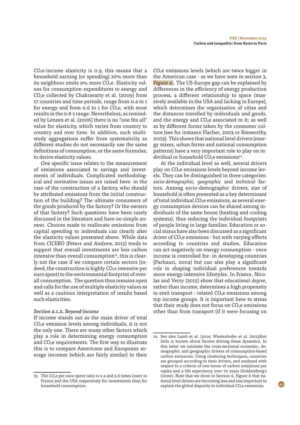$CO<sub>2</sub>e$ -income elasticity is 0.9, this means that a household earning (or spending) 10% more than its neighbour emits 9% more  $CO<sub>2</sub>e$ . Elasticity values for consumption expenditures to energy and CO<sub>2</sub>e collected by Chakravarty et al. (2009) from 17 countries and time periods, range from 0.4 to 1 for energy and from 0.6 to 1 for  $CO<sub>2</sub>e$ , with most results in the 0.8-1 range. Nevertheless, as reminded by Lenzen et al. (2006) there is no "one fts all" value for elasticity, which varies from country to country and over time. In addition, such multistudy aggregations suffer from systematicity as diferent studies do not necessarily use the same defnitions of consumption, or the same formulas, to derive elasticity values.

One specifc issue relates to the measurement of emissions associated to savings and investments of individuals. Complicated methodological and normative issues are raised here: in the case of the construction of a factory, who should be attributed emissions from the initial construction of the building? The ultimate consumers of the goods produced by the factory? Or the owners of that factory? Such questions have been rarely discussed in the literature and have no simple answer. Choices made to reallocate emissions from capital spending to individuals can clearly alter the elasticity values presented above. While data from CICERO (Peters and Andrew, 2015) tends to support that overall investments are less carbon intensive than overall consumption<sup>13</sup>, this is clearly not the case if we compare certain sectors (indeed, the construction is highly  $CO<sub>2</sub>e$  intensive per euro spent) to the environmental footprint of overall consumption. The question thus remains open and calls for the use of multiple elasticity values as well as a cautious interpretation of results based such elasticities.

#### **Section 4.1.2. Beyond income**

If income stands out as the main driver of total  $CO<sub>2</sub>e$  emission levels among individuals, it is not the only one. There are many other factors which play a role in determining energy consumption and  $CO<sub>2</sub>e$  requirements. The first way to illustrate this is to compare Americans and Europeans average incomes (which are fairly similar) to their  $CO<sub>2</sub>e$  emissions levels (which are twice bigger in the American case - as we have seen in section 3, Figure 4). The US-Europe gap can be explained by differences in the efficiency of energy production process, a diferent relationship to space (massively available in the USA and lacking in Europe), which determines the organization of cities and the distances travelled by individuals and goods, and the energy and  $CO<sub>2</sub>e$  associated to it; as well as by diferent forms taken by the consumer culture (see for instance Flacher, 2003 or Kenworthy, 2003). This shows that national level drivers (energy mixes, urban forms and national consumption patterns) have a very important role to play on individual or household  $CO<sub>2</sub>e$  emissions<sup>14</sup>.

At the individual level as well, several drivers play on CO<sub>2</sub>e emissions levels beyond income levels. They can be distinguished in three categories: socio-demographic, geographic and technical factors. Among socio-demographic drivers, size of household is often presented as a key determinant of total individual  $CO<sub>2</sub>e$  emissions, as several energy consumption devices can be shared among individuals of the same house (heating and cooling systems), thus reducing the individual footprints of people living in large families. Education or social status have also been discussed as a signifcant driver of  $CO<sub>2</sub>e$  emissions - but with varying effects according to countries and studies. Education can act negatively on energy consumption - once income is controlled for- in developing countries (Pachauri, 2004) but can also play a signifcant role in shaping individual preferences towards more energy-intensive lifestyles. In France, Nicolas and Verry (2015) show that educational degree, rather than income, determines a high propensity to emit transport - related  $CO<sub>2</sub>e$  emissions among top income groups. It is important here to stress that their study does not focus on  $CO<sub>2</sub>e$  emissions other than from transport (if it were focusing on

<sup>13.</sup> The  $CO<sub>2</sub>e$  per euro spent ratio is 2.4 and 3.8 times lower in France and the USA respectively for investments than for household consumption.

<sup>14.</sup> See also Lamb et al. (2014; Wiedenhofer et al. (2013)but little is known about factors driving these dynamics. In this letter we estimate the cross-sectional economic, demographic and geographic drivers of consumption-based carbon emissions. Using clustering techniques, countries are grouped according to their drivers, and analysed with respect to a criteria of one tonne of carbon emissions per capita and a life expectancy over 70 years (Goldemberg's Corner. Note that we show in Section 6, Figure 8 that national level drivers are becoming less and less important to explain the global disparity in individual  $CO<sub>2</sub>e$  emissions.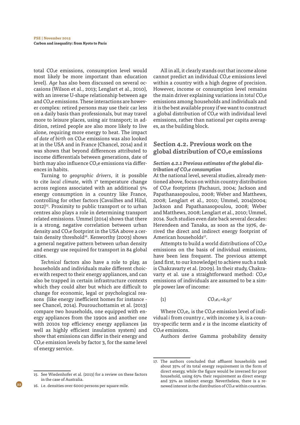total CO<sub>2</sub>e emissions, consumption level would most likely be more important than education level). Age has also been discussed on several occasions (Wilson et al., 2013; Lenglart et al., 2010), with an inverse U-shape relationship between age and  $CO<sub>2</sub>e$  emissions. These interactions are however complex: retired persons may use their car less on a daily basis than professionals, but may travel more to leisure places, using air transport; in addition, retired people are also more likely to live alone, requiring more energy to heat. The impact of date of birth on  $CO<sub>2</sub>e$  emissions was also looked at in the USA and in France (Chancel, 2014) and it was shown that beyond diferences attributed to income diferentials between generations, date of birth may also influence CO<sub>2</sub>e emissions via differences in habits.

Turning to geographic drivers, it is possible to cite local climate, with 1° temperature change across regions associated with an additional 5% energy consumption in a country like France, controlling for other factors (Cavailhes and Hilal,  $2012$ <sup>15</sup>. Proximity to public transport or to urban centres also plays a role in determining transport related emissions. Ummel (2014) shows that there is a strong, negative correlation between urban density and CO<sub>2</sub>e footprint in the USA above a certain density threshold<sup>16</sup>. Kenworthy (2003) shows a general negative pattern between urban density and energy use required for transport in 84 global cities.

Technical factors also have a role to play, as households and individuals make diferent choices with respect to their energy appliances, and can also be trapped in certain infrastructure contexts which they could alter but which are difficult to change for economic, legal or psychological reasons (like energy inefficient homes for instance see Chancel, 2014). Pourouchottamin et al. (2013) compare two households, one equipped with energy appliances from the 1990s and another one with 2010s top efficiency energy appliances (as well as highly efficient insulation system) and show that emissions can difer in their energy and  $CO<sub>2</sub>e$  emission levels by factor 3, for the same level of energy service.

All in all, it clearly stands out that income alone cannot predict an individual  $CO<sub>2</sub>e$  emissions level within a country with a high degree of precision. However, income or consumption level remains the main driver explaining variations in total  $CO<sub>2</sub>e$ emissions among households and individuals and it is the best available proxy if we want to construct a global distribution of  $CO<sub>2</sub>e$  with individual level emissions, rather than national per capita averages, as the building block.

## **Section 4.2. Previous work on the**  global distribution of CO<sub>2</sub>e emissions

### **Section 4.2.1 Previous estimates of the global dis**tribution of CO<sub>2</sub>e consumption

At the national level, several studies, already mentioned above, focus on within country distribution of CO2e footprints (Pachauri, 2004; Jackson and Papathanasopoulou, 2008; Weber and Matthews, 2008; Lenglart et al., 2010; Ummel, 2014)2004; Jackson and Papathanasopoulou, 2008; Weber and Matthews, 2008; Lenglart et al., 2010; Ummel, 2014. Such studies even date back several decades: Herendeen and Tanaka, as soon as the 1976, derived the direct and indirect energy footprint of American households<sup>17</sup>.

Attempts to build a world distributions of  $CO<sub>2</sub>e$ emissions on the basis of individual emissions, have been less frequent. The previous attempt (and frst, to our knowledge) to achieve such a task is Chakravarty et al. (2009). In their study, Chakravarty et al. use a straightforward method:  $CO<sub>2</sub>e$ emissions of individuals are assumed to be a simple power law of income:

## (1)  $CO_2e_{ic} = k_c y_i^e$

Where  $CO<sub>2</sub>e<sub>ic</sub>$  is the  $CO<sub>2</sub>e$  emission level of individual *i* from country *c*, with income y.  $k_c$  is a country-specifc term and e is the income elasticity of CO<sub>2</sub>e emissions.

Authors derive Gamma probability density

<sup>15.</sup> See Wiedenhofer et al. (2013) for a review on these factors in the case of Australia.

<sup>16.</sup> i.e. densities over 6000 persons per square mile.

<sup>17.</sup> The authors concluded that affluent households used about 35% of its total energy requirement in the form of direct energy, while the fgure would be inversed for poor household, using 65% their requirement as direct energy and 35% as indirect energy. Nevertheless, there is a renewed interest in the distribution of  $CO<sub>2</sub>e$  within countries.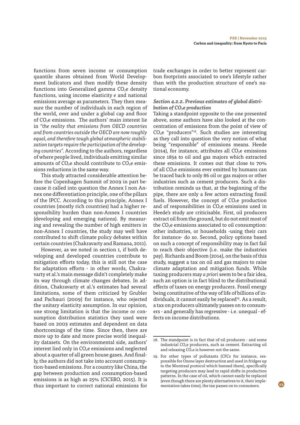functions from seven income or consumption quantile shares obtained from World Development Indicators and then modify these density functions into Generalized gamma  $CO<sub>2</sub>e$  density functions, using income elasticity e and national emissions average as parameters. They then measure the number of individuals in each region of the world, over and under a global cap and floor of  $CO<sub>2</sub>e$  emissions. The authors' main interest lie in "the reality that emissions from OECD countries and from countries outside the OECD are now roughly equal, and therefore tough global atmospheric stabilization targets require the participation of the developing countries". According to the authors, regardless of where people lived, individuals emitting similar amounts of  $CO<sub>2</sub>e$  should contribute to  $CO<sub>2</sub>e$  emissions reductions in the same way.

This study attracted considerable attention before the Copenhagen Summit of 2009 in part because it called into question the Annex I non Annex one diferentiation principle, one of the pillars of the IPCC. According to this principle, Annex I countries (mostly rich countries) had a higher responsibility burden than non-Annex I countries (developing and emerging nations). By measuring and revealing the number of high emitters in non-Annex I countries, the study may well have contributed to shift climate policy debates within certain countries (Chakravarty and Ramana, 2011).

However, as we noted in section 1, if both developing and developed countries contribute to mitigation efforts today, this is still not the case for adaptation efforts - in other words, Chakravarty et al.'s main message didn't completely make its way through climate changes debates. In addition, Chakravarty et al.'s estimates had several limitations, some of them criticized by Grubler and Pachauri (2009) for instance, who rejected the unitary elasticity assumption. In our opinion, one strong limitation is that the income or consumption distribution statistics they used were based on 2003 estimates and dependent on data shortcomings of the time. Since then, there are more up to date and more precise world inequality datasets. On the environmental side, authors' interest lied only in CO<sub>2</sub>e emissions and neglected about a quarter of all green house gases. And finally, the authors did not take into account consumption-based emissions. For a country like China, the gap between production and consumption-based emissions is as high as 25% (CICERO, 2015). It is thus important to correct national emissions for

trade exchanges in order to better represent carbon footprints associated to one's lifestyle rather than with the production structure of one's national economy.

#### **Section 4.2.2. Previous estimates of global distribution of CO<sub>2</sub>e production**

Taking a standpoint opposite to the one presented above, some authors have also looked at the concentration of emissions from the point of view of  $CO<sub>2</sub>e$  "producers"<sup>18</sup>. Such studies are interesting as they call into question the very notion of what being "responsible" of emissions means. Heede (2014), for instance, attributes all  $CO<sub>2</sub>e$  emissions since 1854 to oil and gas majors which extracted these emissions. It comes out that close to 70% of all  $CO<sub>2</sub>e$  emissions ever emitted by humans can be traced back to only 86 oil or gas majors or other industries such as cement producers. Such a distribution reminds us that, at the beginning of the pipe, there are only a few actors extracting fossil fuels. However, the concept of  $CO<sub>2</sub>e$  production and of responsibilities in  $CO<sub>2</sub>e$  emissions used in Heede's study are criticisable. First, oil producers extract oil from the ground, but do not emit most of the  $CO<sub>2</sub>e$  emissions associated to oil consumption: other industries, or households -using their cars for instance- do so. Second, policy options based on such a concept of responsibility may in fact fail to reach their objective (i.e. make the industries pay). Richards and Boom (2014), on the basis of this study, suggest a tax on oil and gas majors to raise climate adaptation and mitigation funds. While taxing producers may a priori seem to be a fair idea, such an option is in fact blind to the distributional efects of taxes on energy producers. Fossil energy being constitutive of the way of life of billions of individuals, it cannot easily be replaced<sup>19</sup>. As a result, a tax on producers ultimately passes on to consumers - and generally has regressive - i.e. unequal - effects on income distributions.

<sup>18.</sup> The standpoint is in fact that of oil producers - and some industrial CO<sub>2</sub>e producers, such as cement. Extracting oil and releasing  $\overline{CO}_2e$  is however not the same.

<sup>19.</sup> For other types of pollutants (CFCs for instance, responsible for Ozone layer destruction and used in fridges up to the Montreal protocol which banned them), specifcally targeting producers may lead to rapid shifts in production patterns. In the case of oil, which cannot easily be replaced (even though there are plenty alternatives to it, their implementation takes time), the tax passes on to consumers.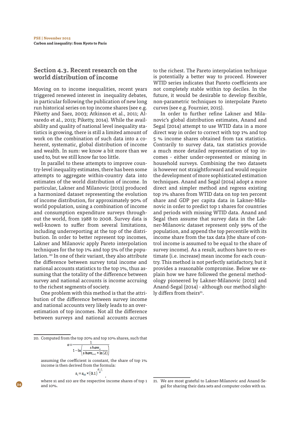## **Section 4.3. Recent research on the world distribution of income**

Moving on to income inequalities, recent years triggered renewed interest in inequality debates, in particular following the publication of new long run historical series on top income shares (see e.g. Piketty and Saez, 2003; Atkinson et al., 2011; Alvaredo et al., 2013; Piketty, 2014). While the availability and quality of national level inequality statistics is growing, there is still a limited amount of work on the combination of such data into a coherent, systematic, global distribution of income and wealth. In sum: we know a bit more than we used to, but we still know far too little.

In parallel to these attempts to improve country-level inequality estimates, there has been some attempts to aggregate within-country data into estimates of the world distribution of income. In particular, Lakner and Milanovic (2013) produced a harmonized dataset representing the evolution of income distribution, for approximately 90% of world population, using a combination of income and consumption expenditure surveys throughout the world, from 1988 to 2008. Survey data is well-known to sufer from several limitations, including underreporting at the top of the distribution. In order to better represent top incomes, Lakner and Milanovic apply Pareto interpolation techniques for the top 1% and top 5% of the population. 20 In one of their variant, they also attribute the diference between survey total income and national accounts statistics to the top 1%, thus assuming that the totality of the diference between survey and national accounts is income accruing to the richest segments of society.

One problem with this method is that the attribution of the diference between survey income and national accounts very likely leads to an overestimation of top incomes. Not all the diference between surveys and national accounts accrues

20. Computed from the top 20% and top 10% shares, such that

 $\alpha$  =

$$
\left| \frac{\text{share}_n}{1 - \ln \left( \frac{\text{share}_n}{\text{share}_{n+1} \times \ln(2)} \right)} \right|
$$

assuming the coefficient is constant, the share of top 1% income is then derived from the formula:

$$
_{1}=s_{10}\times (0.1)^{\frac{\alpha}{\alpha}}
$$

**24**

where s1 and s10 are the respective income shares of top 1 and 10%.

,

to the richest. The Pareto interpolation technique is potentially a better way to proceed. However WTID series indicates that Pareto coefficients are not completely stable within top deciles. In the future, it would be desirable to develop flexible, non-parametric techniques to interpolate Pareto curves (see e.g. Fournier, 2015).

In order to further refne Lakner and Milanovic's global distribution estimates, Anand and Segal (2014) attempt to use WTID data in a more direct way in order to correct with top 1% and top 5 % income shares obtained from tax statistics. Contrarily to survey data, tax statistics provide a much more detailed representation of top incomes - either under-represented or missing in household surveys. Combining the two datasets is however not straightforward and would require the development of more sophisticated estimation techniques. Anand and Segal (2014) adopt a more direct and simpler method and regress existing top 1% shares from WTID data on top ten percent share and GDP per capita data in Lakner-Milanovic in order to predict top 1 shares for countries and periods with missing WTID data. Anand and Segal then assume that survey data in the Lakner-Milanovic dataset represent only 99% of the population, and append the top percentile with its income share from the tax data (the share of control income is assumed to be equal to the share of survey income). As a result, authors have to re-estimate (i.e. increase) mean income for each country. This method is not perfectly satisfactory, but it provides a reasonable compromise. Below we explain how we have followed the general methodology pioneered by Lakner-Milanovic (2013) and Anand-Segal (2014) - although our method slightly differs from theirs<sup>21</sup>.

<sup>21.</sup> We are most grateful to Lakner-Milanovic and Anand-Segal for sharing their data sets and computer codes with us.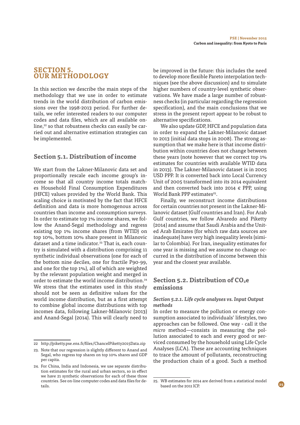## **SECTION 5. OUR METHODOLOGY**

In this section we describe the main steps of the methodology that we use in order to estimate trends in the world distribution of carbon emissions over the 1998-2013 period. For further details, we refer interested readers to our computer codes and data fles, which are all available online.<sup>22</sup> so that robustness checks can easily be carried out and alternative estimation strategies can be implemented.

## **Section 5.1. Distribution of income**

We start from the Lakner-Milanovic data set and proportionally rescale each income group's income so that all country income totals matches Household Final Consumption Expenditures (HFCE) values provided by the World Bank. This scaling choice is motivated by the fact that HFCE defnition and data is more homogenous across countries than income and consumption surveys. In order to estimate top 1% income shares, we follow the Anand-Segal methodology and regress existing top 1% income shares (from WTID) on top 10%, bottom 10% share present in Milanovic dataset and a time indicator.<sup>23</sup> That is, each country is simulated with a distribution comprising 11 synthetic individual observations (one for each of the bottom nine deciles, one for fractile P90-99, and one for the top 1%), all of which are weighted by the relevant population weight and merged in order to estimate the world income distribution.24 We stress that the estimates used in this study should not be seen as defnitive values for the world income distribution, but as a frst attempt to combine global income distributions with top incomes data, following Lakner-Milanovic (2013) and Anand-Segal (2014). This will clearly need to

be improved in the future: this includes the need to develop more fexible Pareto interpolation techniques (see the above discussion) and to simulate higher numbers of country-level synthetic observations. We have made a large number of robustness checks (in particular regarding the regression specifcation), and the main conclusions that we stress in the present report appear to be robust to alternative specifcations.

We also update GDP, HFCE and population data in order to expand the Lakner-Milanovic dataset to 2013 (initial data stops in 2008). The strong assumption that we make here is that income distribution within countries does not change between these years (note however that we correct top 1% estimates for countries with available WTID data in 2013). The Lakner-Milanovic dataset is in 2005 USD PPP. It is converted back into Local Currency Unit of 2005 transformed into its 2014 equivalent and then converted back into 2014  $\in$  PPP, using World Bank PPP estimates<sup>25</sup>.

Finally, we reconstruct income distributions for certain countries not present in the Lakner-Milanovic dataset (Gulf countries and Iran). For Arab Gulf countries, we follow Alvaredo and Piketty (2014) and assume that Saudi Arabia and the United Arab Emirates (for which raw data sources are inadequate) have very high inequality levels (similar to Colombia). For Iran, inequality estimates for one year is missing and we assume no change occurred in the distribution of income between this year and the closest year available.

## **Section 5.2. Distribution of CO<sub>2</sub>e emissions**

## **Section 5.2.1. Life cycle analyses vs. Input Output methods**

In order to measure the pollution or energy consumption associated to individuals' lifestyles, two approaches can be followed. One way - call it the micro method—consists in measuring the pollution associated to each and every good or serviced consumed by the household using Life Cycle Analyses (LCA). These are accounting techniques to trace the amount of pollutants, reconstructing the production chain of a good. Such a method

<sup>22</sup> http://piketty.pse.ens.fr/fles/ChancelPiketty2015Data.zip

<sup>23.</sup> Note that our regression is slightly diferent to Anand and Segal, who regress top shares on top 10% shares and GDP per capita.

<sup>24.</sup> For China, India and Indonesia, we use separate distribution estimates for the rural and urban sectors, so in efect we have 21 synthetic observations for each of these three countries. See on-line computer codes and data fles for details.

<sup>25.</sup> WB estimates for 2014 are derived from a statistical model based on the 2011 ICP.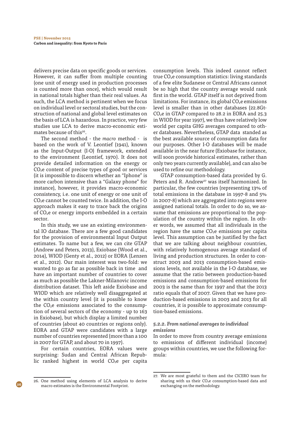delivers precise data on specifc goods or services. However, it can suffer from multiple counting (one unit of energy used in production processes is counted more than once), which would result in national totals higher than their real values. As such, the LCA method is pertinent when we focus on individual level or sectoral studies, but the construction of national and global level estimates on the basis of LCA is hazardous. In practice, very few studies use LCA to derive macro-economic estimates because of this<sup>26</sup>

The second method - the macro method - is based on the work of V. Leontief (1941), known as the Input-Output (I-O) framework, extended to the environment (Leontief, 1970). It does not provide detailed information on the energy or  $CO<sub>2</sub>e$  content of precise types of good or services (it is impossible to discern whether an "Iphone" is more carbon intensive than a "Galaxy phone" for instance), however, it provides macro-economic consistency, i.e. one unit of energy or one unit of  $CO<sub>2</sub>e$  cannot be counted twice. In addition, the I-O approach makes it easy to trace back the origins of CO<sub>2</sub>e or energy imports embedded in a certain sector.

In this study, we use an existing environmental IO database. There are a few good candidates for the provision of environmental Input Output estimates. To name but a few, we can cite GTAP (Andrew and Peters, 2013), Exiobase (Wood et al., 2014), WIOD (Genty et al., 2012) or EORA (Lenzen et al., 2012). Our main interest was two-fold: we wanted to go as far as possible back in time and have an important number of countries to cover as much as possible the Lakner-Milanovic income distribution dataset. This left aside Exiobase and WIOD which are relatively well disaggregated at the within country level (it is possible to know the  $CO<sub>2</sub>e$  emissions associated to the consumption of several sectors of the economy - up to 163 in Exiobase), but which display a limited number of countries (about 40 countries or regions only). EORA and GTAP were candidates with a large number of countries represented (more than a 100 in 2007 for GTAP, and about 70 in 1997).

For certain countries, EORA values were surprising: Sudan and Central African Republic ranked highest in world  $CO<sub>2</sub>e$  per capita consumption levels. This indeed cannot refect true  $CO<sub>2</sub>e$  consumption statistics: living standards of a few elite Sudanese or Central Africans cannot be so high that the country average would rank frst in the world. GTAP itself is not deprived from limitations. For instance, its global  $CO<sub>2</sub>e$  emissions level is smaller than in other databases (22.8Gt-CO<sub>2</sub>e in GTAP compared to 28.2 in EORA and 25.3 in WIOD for year 1997), we thus have relatively low world per capita GHG averages compared to other databases. Nevertheless, GTAP data standed as the best available source of consumption data for our purposes. Other I-O databases will be made available in the near future (Exiobase for instance, will soon provide historical estimates, rather than only two years currently available), and can also be used to refne our methodology.

GTAP consumption-based data provided by G. Peters and R. Andrew<sup>27</sup> was itself harmonized. In particular, the few countries (representing 13% of total emissions in the database in 1997-8 and 5% in 2007-8) which are aggregated into regions were assigned national totals. In order to do so, we assume that emissions are proportional to the population of the country within the region. In other words, we assumed that all individuals in the region have the same  $CO<sub>2</sub>e$  emissions per capita level. This assumption can be justifed by the fact that we are talking about neighbour countries, with relatively homogenous average standard of living and production structures. In order to construct 2003 and 2013 consumption-based emissions levels, not available in the I-O database, we assume that the ratio between production-based emissions and consumption-based emissions for 2003 is the same than for 1997 and that the 2013 ratio equals that of 2007. Given that we have production-based emissions in 2003 and 2013 for all countries, it is possible to approximate consumption-based emissions.

#### **5.2.2. From national averages to individual emissions**

In order to move from country average emissions to emissions of diferent individual (income) groups within countries, we use the following formula:



<sup>26.</sup> One method using elements of LCA analysis to derive macro estimates is the Environmental Footprint.

<sup>27.</sup> We are most grateful to them and the CICERO team for sharing with us their  $CO<sub>2</sub>e$  consumption-based data and exchanging on the methodology.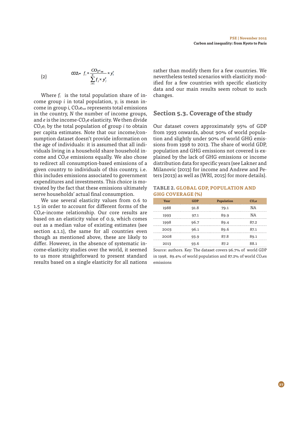(2) 
$$
CO2 = f_i \times \frac{CO_2 e_{tot}}{\sum_{i=1}^{N} f_j \times y_j^e} \times y_i^e
$$

Where  $f_i$  is the total population share of income group  $i$  in total population,  $y_i$  is mean income in group  $i$ ,  $CO<sub>2</sub>e<sub>tot</sub>$  represents total emissions in the country, N the number of income groups, and  $e$  is the income-CO<sub>2</sub>e elasticity. We then divide  $CO<sub>2</sub>e<sub>i</sub>$  by the total population of group *i* to obtain per capita estimates. Note that our income/consumption dataset doesn't provide information on the age of individuals: it is assumed that all individuals living in a household share household income and  $CO<sub>2</sub>e$  emissions equally. We also chose to redirect all consumption-based emissions of a given country to individuals of this country, i.e. this includes emissions associated to government expenditures and investments. This choice is motivated by the fact that these emissions ultimately serve households' actual fnal consumption.

We use several elasticity values from 0.6 to 1.5 in order to account for diferent forms of the CO2e-income relationship. Our core results are based on an elasticity value of 0.9, which comes out as a median value of existing estimates (see section 4.1.1), the same for all countries even though as mentioned above, these are likely to difer. However, in the absence of systematic income-elasticity studies over the world, it seemed to us more straightforward to present standard results based on a single elasticity for all nations

rather than modify them for a few countries. We nevertheless tested scenarios with elasticity modifed for a few countries with specifc elasticity data and our main results seem robust to such changes.

## **Section 5.3. Coverage of the study**

Our dataset covers approximately 95% of GDP from 1993 onwards, about 90% of world population and slightly under 90% of world GHG emissions from 1998 to 2013. The share of world GDP, population and GHG emissions not covered is explained by the lack of GHG emissions or income distribution data for specifc years (see Lakner and Milanovic (2013) for income and Andrew and Peters (2013) as well as (WRI, 2015) for more details).

#### **TABLE 2. GLOBAL GDP, POPULATION AND GHG COVERAGE (%)**

| Year | GDP  | Population | CO-e |
|------|------|------------|------|
| 1988 | 91.8 | 79.1       | NΑ   |
| 1993 | 97.1 | 89.9       | ΝA   |
| 1998 | 96.7 | 89.4       | 87.2 |
| 2003 | 96.1 | 89.6       | 87.1 |
| 2008 | 93.9 | 87.8       | 89.1 |
| 2013 |      | 87.2       |      |

Source: authors. Key: The dataset covers 96.7% of world GDP in 1998, 89.4% of world population and 87.2% of world  $CO<sub>2</sub>$ es emissions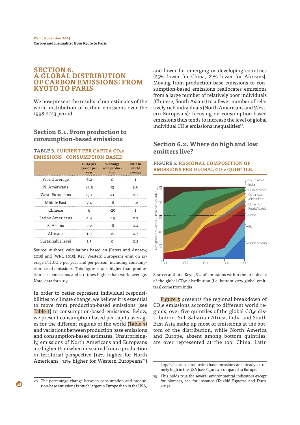## **SECTION 6. A GLOBAL DISTRIBUTION OF CARBON EMISSIONS: FROM KYOTO TO PARIS**

We now present the results of our estimates of the world distribution of carbon emissions over the 1998-2013 period.

## **Section 6.1. From production to consumption-based emissions**

### **TABLE 3. CURRENT PER CAPITA CO2e EMISSIONS - CONSUMPTION-BASED**

|                   | tCO <sub>2</sub> e per<br>year | % change<br>person per with produc-<br>tion | ratio to<br>world<br>average |
|-------------------|--------------------------------|---------------------------------------------|------------------------------|
| World average     | 6.2                            | O                                           | 1                            |
| N. Americans      | 22.5                           | -13                                         | 3.6                          |
| West. Europeans   | 13.1                           | 41                                          | 2.1                          |
| Middle East       | 7.4                            | -8                                          | 1.2                          |
| Chinese           | 6                              | $-25$                                       |                              |
| Latino Americans  | 4.4                            | $-15$                                       | 0.7                          |
| S. Asians         | 2.2                            | -8                                          | 0.4                          |
| Africans          | 1.9                            | -21                                         | 0.3                          |
| Sustainable level | 1.3                            |                                             | 0.2                          |

Source: authors' calculations based on (Peters and Andrew, 2015) and (WRI, 2015). Key: Western Europeans emit on average 13.1t $CO<sub>2</sub>e$  per year and per person, including consumption-based emissions. This fgure is 41% higher than production base emissions and 2.1 times higher than world average. Note: data for 2013.

In order to better represent individual responsibilities to climate change, we believe it is essential to move from production-based emissions (see Table 1) to consumption-based emissions. Below, we present consumption-based per capita averages for the diferent regions of the world (Table 3) and variations between production base emissions and consumption-based estimates. Unsurprisingly, emissions of North Americans and Europeans are higher than when measured from a production or territorial perspective (13% higher for North Americans, 41% higher for Western Europeans<sup>28</sup>)

**28**

and lower for emerging or developing countries (25% lower for China, 21% lower for Africans). Moving from production base emissions to consumption-based emissions reallocates emissions from a large number of relatively poor individuals (Chinese, South Asians) to a fewer number of relatively rich individuals (North Americans and Western Europeans): focusing on consumption-based emissions thus tends to increase the level of global individual  $CO<sub>2</sub>e$  emissions inequalities<sup>29</sup>.

## **Section 6.2. Where do high and low emitters live?**

#### **FIGURE 5. REGIONAL COMPOSITION OF EMISSIONS PER GLOBAL CO2e QUINTILE.**



Source: authors. Key: 36% of emissions within the frst decile of the global CO<sub>2</sub>e distribution (i.e. bottom 20% global emitters) come from India.

Figure 5 presents the regional breakdown of CO<sub>2</sub>e emissions according to different world regions, over five quintiles of the global  $CO<sub>2</sub>e$  distribution. Sub Saharian Africa, India and South East Asia make up most of emissions at the bottom of the distribution, while North America and Europe, absent among bottom quintiles, are over represented at the top. China, Latin

<sup>28.</sup> The percentage change between consumption and production-base emissions is much larger in Europe than in the USA,

largely because production base emissions are already extremely high in the USA (see Figure 4) compared to Europe.

<sup>29.</sup> This holds true for several environmental indicators except for biomass, see for instance (Teixidó-Figueras and Duro, 2015).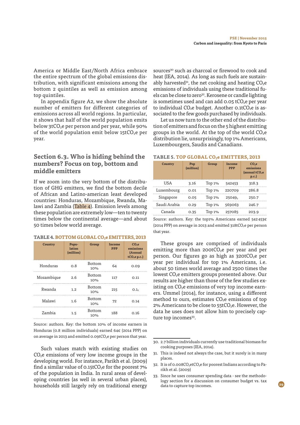America or Middle East/North Africa embrace the entire spectrum of the global emissions distribution, with significant emissions among the bottom 2 quintiles as well as emission among top quintiles.

In appendix figure A2, we show the absolute number of emitters for different categories of emissions across all world regions. In particular, it shows that half of the world population emits below  $3tCO<sub>2</sub>e$  per person and per year, while 90% of the world population emit below  $15tCO<sub>2</sub>e$  per year.

## **Section 6.3. Who is hiding behind the numbers? Focus on top, bottom and middle emitters**

If we zoom into the very bottom of the distribution of GHG emitters, we fnd the bottom decile of African and Latino-american least developed countries: Honduras, Mozambique, Rwanda, Malawi and Zambia (Table 4). Emission levels among these population are extremely low—ten to twenty times below the continental average—and about 50 times below world average.

#### **TABLE 4. BOTTOM GLOBAL CO2e EMITTERS, 2013**

| Country    | Popu-<br>lation<br>(million) | Group                | Income<br><b>PPP</b> | $CO2$ e<br>emissions<br>(Annual<br>tCO <sub>2</sub> e p.c.) |
|------------|------------------------------|----------------------|----------------------|-------------------------------------------------------------|
| Honduras   | 0.8                          | <b>Bottom</b><br>10% | 64                   | 0.09                                                        |
| Mozambique | 2.6                          | <b>Bottom</b><br>10% | 117                  | 0.11                                                        |
| Rwanda     | 1.2                          | Bottom<br>10%        | 215                  | 0.1 <sub>2</sub>                                            |
| Malawi     | 1.6                          | <b>Bottom</b><br>10% | 72                   | 0.14                                                        |
| Zambia     | 1.5                          | <b>Bottom</b><br>10% | 188                  | 0.16                                                        |

Source: authors. Key: the bottom 10% of income earners in Honduras (0.8 million individuals) earned 64€ (2014 PPP) on on average in 2013 and emitted 0.09 $tCO_2$ e per person that year.

Such values match with existing studies on  $CO<sub>2</sub>e$  emissions of very low income groups in the developing world. For instance, Parikh et al. (2009) find a similar value of  $0.15$ t $CO<sub>2</sub>e$  for the poorest 7% of the population in India. In rural areas of developing countries (as well in several urban places), households still largely rely on traditional energy

sources<sup>30</sup> such as charcoal or firewood to cook and heat (IEA, 2014). As long as such fuels are sustainably harvested<sup>31</sup>, the net cooking and heating  $CO<sub>2</sub>e$ emissions of individuals using these traditional fuels can be close to zero<sup>32</sup>. Kerosene or candle lighting is sometimes used and can add  $0.05$  tCO<sub>2</sub>e per year to individual  $CO<sub>2</sub>e$  budget. Another 0.1t $CO<sub>2</sub>e$  is associated to the few goods purchased by individuals.

Let us now turn to the other end of the distribution of emitters and focus on the 5 highest emitting groups in the world. At the top of the world  $CO<sub>2</sub>e$ distribution lie, unsurprisingly, top 1% Americans, Luxembourgers, Saudis and Canadians.

#### **TABLE 5. TOP GLOBAL CO2e EMITTERS, 2013**

| Country      | Pop<br>(million) | Group         | Income<br><b>PPP</b> | CO-e<br>emissions<br>(annual $tCO2e$<br>p.c. |
|--------------|------------------|---------------|----------------------|----------------------------------------------|
| <b>TISA</b>  | 3.16             | Top 1% 542453 |                      | 318.3                                        |
| Luxembourg   | 0.01             | Top 1% 220709 |                      | 286.8                                        |
| Singapore    | 0.05             | Top $1\%$     | 25049,               | 250.7                                        |
| Saudi Arabia | 0.29             | Top $1\%$     | 569063               | 246.7                                        |
| Canada       | 0.35             | Top $1\%$     | 257085               | 203.9                                        |

Source: authors. Key: the top1% Americans earned 542453€ (2014 PPP) on average in 2013 and emitted 318tCO<sub>2</sub>e per person that year.

These groups are comprised of individuals emitting more than  $200tCO<sub>2</sub>e$  per year and per person. Our figures go as high as  $320tCO<sub>2</sub>e$  per year per individual for top 1% Americans, i.e. about 50 times world average and 2500 times the lowest CO<sub>2</sub>e emitters groups presented above. Our results are higher than those of the few studies existing on  $CO<sub>2</sub>e$  emissions of very top income earners. Ummel (2014), for instance, using a diferent method to ours, estimates  $CO<sub>2</sub>e$  emissions of top 2% Americans to be close to  $55tCO<sub>2</sub>e$ . However, the data he uses does not allow him to precisely capture top incomes<sup>33</sup>.

<sup>30.</sup> 2.7 billion individuals currently use traditional biomass for cooking purposes (IEA, 2014).

<sup>31.</sup> This is indeed not always the case, but it surely is in many places.

<sup>32.</sup> It is of 0.008CO<sub>2</sub>etCO<sub>2</sub>e for poorest Indians according to Parikh et al. (2009)

<sup>33.</sup> Since he uses consumer spending data - see the methodology section for a discussion on consumer budget vs. tax data to capture top incomes.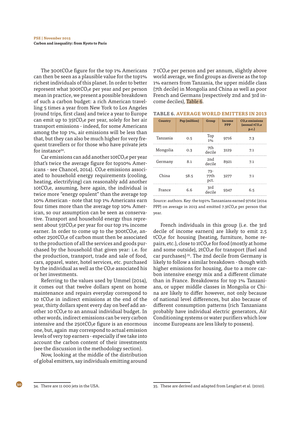The 300tCO<sub>2</sub>e figure for the top 1% Americans can then be seen as a plausible value for the top1% richest individuals of this planet. In order to better represent what  $300tCO<sub>2</sub>e$  per year and per person mean in practice, we present a possible breakdown of such a carbon budget: a rich American travelling 5 times a year from New York to Los Angeles (round trips, frst class) and twice a year to Europe can emit up to  $35tCO<sub>2</sub>e$  per year, solely for her air transport emissions - indeed, for some Americans among the top 1%, air emissions will be less than that, but they can also be much higher for very frequent travellers or for those who have private jets for instance<sup>34</sup>.

Car emissions can add another  $10tCO<sub>2</sub>e$  per year (that's twice the average fgure for top10% Americans - see Chancel, 2014).  $CO<sub>2</sub>e$  emissions associated to household energy requirements (cooling, heating, electrifying) can reasonably add another 10t $CO<sub>2</sub>e$ , assuming, here again, the individual is twice more "energy opulent" than the average top 10% American - note that top 1% Americans earn four times more than the average top 10% American, so our assumption can be seen as conservative. Transport and household energy thus represent about  $55tCO<sub>2</sub>e$  per year for our top 1% income earner. In order to come up to the  $300tCO<sub>2</sub>e$ , another 250tCO<sub>2</sub>e of carbon must then be associated to the production of all the services and goods purchased by the household that given year: i.e. for the production, transport, trade and sale of food, cars, apparel, water, hotel services, etc. purchased by the individual as well as the  $CO<sub>2</sub>e$  associated his or her investments.

Referring to the values used by Ummel (2014), it comes out that twelve dollars spent on home maintenance and repairs everyday correspond to 10 tCO<sub>2</sub>e in indirect emissions at the end of the year, thirty dollars spent every day on beef add another 10  $tCO<sub>2</sub>e$  to an annual individual budget. In other words, indirect emissions can be very carbon intensive and the  $250tCO<sub>2</sub>e$  figure is an enormous one, but, again may correspond to actual emission levels of very top earners - especially if we take into account the carbon content of their investments (see the discussion in the methodology section).

Now, looking at the middle of the distribution of global emitters, say individuals emitting around 7 tCO<sub>2</sub>e per person and per annum, slightly above world average, we fnd groups as diverse as the top 1% earners from Tanzania, the upper middle class (7th decile) in Mongolia and China as well as poor French and Germans (respectively 2nd and 3rd income deciles), Table 6.

#### **TABLE 6. AVERAGE WORLD EMITTERS IN 2013**

| Country  | Pop (million) | Group                 | Income<br><b>PPP</b> | <b>CO<sub>2</sub>e</b> emissions<br>(annual $tCO2e$<br>p.c. |
|----------|---------------|-----------------------|----------------------|-------------------------------------------------------------|
| Tanzania | 0.5           | Top<br>1%             | 9716                 | 7.3                                                         |
| Mongolia | O.3           | 7th<br>decile         | 3129                 | 7.1                                                         |
| Germany  | 8.1           | 2nd<br>decile         | 8921                 | 7.1                                                         |
| China    | 58.5          | $73-$<br>77th<br>pct. | 3277                 | 7.1                                                         |
| France   | 6.6           | 3rd<br>decile         | 9347                 | 6.5                                                         |

Source: authors. Key: the top1% Tanzanians earned 9716€ (2014 PPP) on average in 2013 and emitted  $7.3$ t $CO<sub>2</sub>$ e per person that year.

French individuals in this group (i.e. the 3rd decile of income earners) are likely to emit 2.5  $tCO<sub>2</sub>e$  for housing (heating, furniture, home repairs, etc.), close to  $1tCO<sub>2</sub>e$  for food (mostly at home and some outside),  $2tCO<sub>2</sub>e$  for transport (fuel and car purchases) 35. The 2nd decile from Germany is likely to follow a similar breakdown - though with higher emissions for housing, due to a more carbon intensive energy mix and a diferent climate than in France. Breakdowns for top 1% Tanzanians, or upper middle classes in Mongolia or China are likely to difer however, not only because of national level diferences, but also because of diferent consumption patterns (rich Tanzanians probably have individual electric generators, Air Conditioning systems or water purifers which low income Europeans are less likely to possess).

<sup>34.</sup> There are 11 000 jets in the USA.

<sup>35.</sup> These are derived and adapted from Lenglart et al. (2010).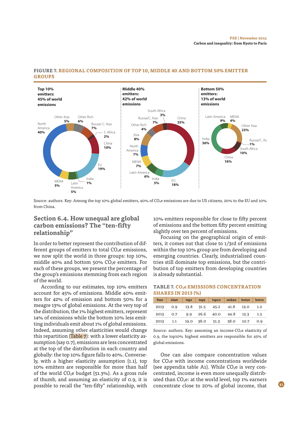

### **FIGURE 7. REGIONAL COMPOSITION OF TOP 10, MIDDLE 40 AND BOTTOM 50% EMITTER GROUPS**

Source: authors. Key: Among the top 10% global emitters, 40% of CO<sub>2</sub>e emissions are due to US citizens, 20% to the EU and 10% from China.

## **Section 6.4. How unequal are global carbon emissions? The "ten-ffty relationship"**

In order to better represent the contribution of different groups of emitters to total  $CO<sub>2</sub>e$  emissions, we now split the world in three groups: top 10%, middle 40% and bottom 50%  $CO<sub>2</sub>e$  emitters. For each of these groups, we present the percentage of the group's emissions stemming from each region of the world.

According to our estimates, top 10% emitters account for 45% of emissions. Middle 40% emitters for 42% of emission and bottom 50% for a meagre 13% of global emissions. At the very top of the distribution, the 1% highest emitters, represent 14% of emissions while the bottom 10% less emitting individuals emit about 1% of global emissions. Indeed, assuming other elasticities would change this repartition (Table 7): with a lower elasticity assumption (say 0.7), emissions are less concentrated at the top of the distribution in each country and globally: the top 10% fgure falls to 40%. Conversely, with a higher elasticity assumption (1.1), top 10% emitters are responsible for more than half of the world  $CO<sub>2</sub>e$  budget (51.3%). As a gross rule of thumb, and assuming an elasticity of 0.9, it is possible to recall the "ten-ffty" relationship, with

10% emitters responsible for close to ffty percent of emissions and the bottom ffty percent emitting slightly over ten percent of emissions.

Focusing on the geographical origin of emitters, it comes out that close to 1/3rd of emissions within the top 10% group are from developing and emerging countries. Clearly, industrialized countries still dominate top emissions, but the contribution of top emitters from developing countries is already substantial.

## **TABLE 7. CO2e EMISSIONS CONCENTRATION SHARES IN 2013 (%)**

| Year |                              |  | elast top1 top5 top10 mid40 bot50 |  | bot10 |
|------|------------------------------|--|-----------------------------------|--|-------|
| 2013 | 0.9 13.8 31.5 45.2 41.8 13.0 |  |                                   |  | 1.2   |
| 2013 | 0.7 9.9 26.6 40.0 44.8 15.3  |  |                                   |  | 1.5   |
| 2013 | 1.1                          |  | 19.0 38.0 51.3 38.0 10.7          |  | 0.9   |

Source: authors. Key: assuming an income-CO<sub>2</sub>e elasticity of 0.9, the top10% highest emitters are responsible for 45% of global emissions.

One can also compare concentration values for  $CO<sub>2</sub>e$  with income concentrations worldwide (see appendix table A1). While  $CO<sub>2</sub>e$  is very concentrated, income is even more unequally distributed than  $CO<sub>2</sub>e$ : at the world level, top 1% earners concentrate close to 20% of global income, that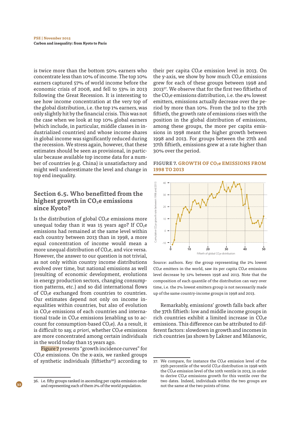is twice more than the bottom 50% earners who concentrate less than 10% of income. The top 10% earners captured 57% of world income before the economic crisis of 2008, and fell to 53% in 2013 following the Great Recession. It is interesting to see how income concentration at the very top of the global distribution, i.e. the top 1% earners, was only slightly hit by the fnancial crisis. This was not the case when we look at top 10% global earners (which include, in particular, middle classes in industrialized countries) and whose income shares in global income was signifcantly reduced during the recession. We stress again, however, that these estimates should be seen as provisional, in particular because available top income data for a number of countries (e.g. China) is unsatisfactory and might well underestimate the level and change in top end inequality.

## **Section 6.5. Who beneftted from the highest growth in CO<sub>2</sub>e emissions since Kyoto?**

Is the distribution of global  $CO<sub>2</sub>e$  emissions more unequal today than it was 15 years ago? If  $CO<sub>2</sub>e$ emissions had remained at the same level within each country between 2013 than in 1998, a more equal concentration of income would mean a more unequal distribution of  $CO<sub>2</sub>e$ , and vice versa. However, the answer to our question is not trivial, as not only within country income distributions evolved over time, but national emissions as well (resulting of economic development, evolutions in energy production sectors, changing consumption patterns, etc.) and so did international fows of CO2e exchanged from countries to countries. Our estimates depend not only on income inequalities within countries, but also of evolution in CO<sub>2</sub>e emissions of each countries and international trade in  $CO<sub>2</sub>e$  emissions (enabling us to account for consumption-based  $CO<sub>2</sub>e$ ). As a result, it is difficult to say, a priori, whether  $CO<sub>2</sub>e$  emissions are more concentrated among certain individuals in the world today than 15 years ago.

Figure 7 presents "growth incidence curves" for  $CO<sub>2</sub>e$  emissions. On the x-axis, we ranked groups of synthetic individuals (fiftieths<sup>36</sup>) according to their per capita  $CO<sub>2</sub>e$  emission level in 2013. On the y-axis, we show by how much  $CO<sub>2</sub>e$  emissions grew for each of these groups between 1998 and 201337. We observe that for the frst two fftieths of the CO<sub>2</sub>e emissions distribution, i.e. the 4% lowest emitters, emissions actually decrease over the period by more than 10%. From the 3rd to the 37th fftieth, the growth rate of emissions rises with the position in the global distribution of emissions, among these groups, the more per capita emissions in 1998 meant the higher growth between 1998 and 2013. For groups between the 27th and 37th fftieth, emissions grew at a rate higher than 30% over the period.

#### **FIGURE 7. GROWTH OF CO2e EMISSIONS FROM 1998 TO 2013**



Source: authors. Key: the group representing the 2% lowest  $CO<sub>2</sub>e$  emitters in the world, saw its per capita  $CO<sub>2</sub>e$  emissions level decrease by 12% between 1998 and 2013. Note that the composition of each quantile of the distribution can vary over time, i.e. the 2% lowest emitters group is not necessarily made up of the same country-income groups in 1998 and 2013.

Remarkably, emissions' growth falls back after the 37th fftieth: low and middle income groups in rich countries exhibit a limited increase in  $CO<sub>2</sub>e$ emissions. This diference can be attributed to different factors: slowdown in growth and incomes in rich countries (as shown by Lakner and Milanovic,



<sup>36.</sup> i.e. ffty groups ranked in ascending per capita emission order and representing each of them 2% of the world population.

<sup>37.</sup> We compare, for instance the  $CO<sub>2</sub>e$  emission level of the 25th percentile of the world CO<sub>2</sub>e distribution in 1998 with the CO<sub>2</sub>e emission level of the 10th ventile in 2013, in order to derive CO<sub>2</sub>e emissions growth for this ventile over the two dates. Indeed, individuals within the two groups are not the same at the two points of time.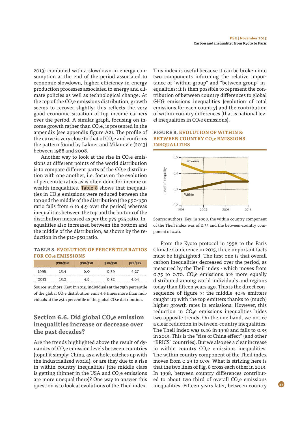2013) combined with a slowdown in energy consumption at the end of the period associated to economic slowdown, higher efficiency in energy production processes associated to energy and climate policies as well as technological change. At the top of the  $CO<sub>2</sub>e$  emissions distribution, growth seems to recover slightly: this refects the very good economic situation of top income earners over the period. A similar graph, focusing on income growth rather than  $CO<sub>2</sub>e$ , is presented in the appendix (see appendix fgure A2). The profle of the curve is very close to that of  $CO<sub>2</sub>e$  and confirms the pattern found by Lakner and Milanovic (2013) between 1988 and 2008.

Another way to look at the rise in  $CO<sub>2</sub>e$  emissions at diferent points of the world distribution is to compare different parts of the  $CO<sub>2</sub>e$  distribution with one another, i.e. focus on the evolution of percentile ratios as is often done for income or wealth inequalities. Table 8 shows that inequalities in  $CO<sub>2</sub>e$  emissions were reduced between the top and the middle of the distribution (the p90-p50 ratio falls from 6 to 4.9 over the period) whereas inequalities between the top and the bottom of the distribution increased as per the p75-p25 ratio. Inequalities also increased between the bottom and the middle of the distribution, as shown by the reduction in the p10-p50 ratio.

**TABLE 8. EVOLUTION OF PERCENTILE RATIOS FOR CO2e EMISSIONS**

|      | p90/p10 | p90/p50 | p10/p50 | p75/p25 |
|------|---------|---------|---------|---------|
| 1998 | 15.4    | 6.0     | 0.39    | 1.27    |
| 2013 | 15.2    | 4.9     | 0.32    | 4.64    |

Source: authors. Key: In 2013, individuals at the 75th percentile of the global  $CO<sub>2</sub>e$  distribution emit 4.6 times more than individuals at the 25th percentile of the global CO<sub>2</sub>e distribution.

## **Section 6.6. Did global CO<sub>2</sub>e emission inequalities increase or decrease over the past decades?**

Are the trends highlighted above the result of dynamics of  $CO<sub>2</sub>e$  emission levels between countries (toput it simply: China, as a whole, catches up with the industrialized world), or are they due to a rise in within country inequalities (the middle class is getting thinner in the USA and  $CO<sub>2</sub>e$  emissions are more unequal there)? One way to answer this question is to look at evolutions of the Theil index.

This index is useful because it can be broken into two components informing the relative importance of "within-group" and "between group" inequalities: it is then possible to represent the contribution of between country diferences to global GHG emissions inequalities (evolution of total emissions for each country) and the contribution of within-country diferences (that is national level inequalities in  $CO<sub>2</sub>e$  emissions).

## **FIGURE 8. EVOLUTION OF WITHIN & BETWEEN COUNTRY CO2e EMISSIONS INEQUALITIES**



Source: authors. Key: in 2008, the within country component of the Theil index was of 0.35 and the between-country component of 0.40.

From the Kyoto protocol in 1998 to the Paris Climate Conference in 2015, three important facts must be highlighted. The frst one is that overall carbon inequalities decreased over the period, as measured by the Theil index - which moves from 0.75 to 0.70.  $CO<sub>2</sub>e$  emissions are more equally distributed among world individuals and regions today than ffteen years ago. This is the direct consequence of fgure 7: the middle 40% emitters caught up with the top emitters thanks to (much) higher growth rates in emissions. However, this reduction in CO<sub>2</sub>e emissions inequalities hides two opposite trends. On the one hand, we notice a clear reduction in between-country inequalities. The Theil index was 0.46 in 1998 and falls to 0.35 in 2013. This is the "rise of China efect" (and other "BRICS" countries). But we also see a clear increase in within country  $CO<sub>2</sub>e$  emissions inequalities. The within country component of the Theil index moves from 0.29 to 0.35. What is striking here is that the two lines of Fig. 8 cross each other in 2013. In 1998, between country diferences contributed to about two third of overall  $CO<sub>2</sub>e$  emissions inequalities. Fifteen years later, between country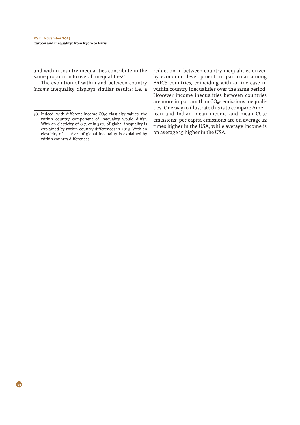and within country inequalities contribute in the same proportion to overall inequalities<sup>38</sup>.

The evolution of within and between country income inequality displays similar results: i.e. a reduction in between country inequalities driven by economic development, in particular among BRICS countries, coinciding with an increase in within country inequalities over the same period. However income inequalities between countries are more important than  $CO<sub>2</sub>e$  emissions inequalities. One way to illustrate this is to compare American and Indian mean income and mean  $CO<sub>2</sub>e$ emissions: per capita emissions are on average 12 times higher in the USA, while average income is on average 15 higher in the USA.

<sup>38.</sup> Indeed, with different income- $CO<sub>2</sub>e$  elasticity values, the within country component of inequality would difer. With an elasticity of 0.7, only 37% of global inequality is explained by within country diferences in 2013. With an elasticity of 1.1, 62% of global inequality is explained by within country diferences.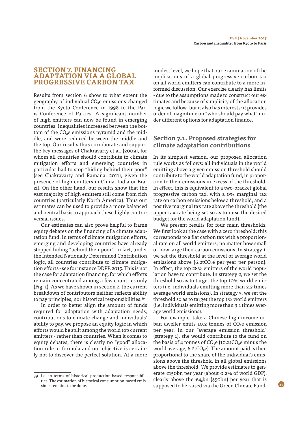## **SECTION 7. FINANCING ADAPTATION VIA A GLOBAL PROGRESSIVE CARBON TAX**

Results from section 6 show to what extent the geography of individual  $CO<sub>2</sub>e$  emissions changed from the Kyoto Conference in 1998 to the Paris Conference of Parties. A signifcant number of high emitters can now be found in emerging countries. Inequalities increased between the bottom of the  $CO<sub>2</sub>e$  emissions pyramid and the middle, and were reduced between the middle and the top. Our results thus corroborate and support the key messages of Chakravarty et al. (2009), for whom all countries should contribute to climate mitigation efforts and emerging countries in particular had to stop "hiding behind their poor" (see Chakravarty and Ramana, 2011), given the presence of high emitters in China, India or Brazil. On the other hand, our results show that the vast majority of high emitters still come from rich countries (particularly North America). Thus our estimates can be used to provide a more balanced and neutral basis to approach these highly controversial issues.

Our estimates can also prove helpful to frame equity debates on the fnancing of a climate adaptation fund. In terms of climate mitigation efforts, emerging and developing countries have already stopped hiding "behind their poor". In fact, under the Intended Nationally Determined Contribution logic, all countries contribute to climate mitigation efforts - see for instance DDPP, 2015. This is not the case for adaptation financing, for which efforts remain concentrated among a few countries only (Fig. 1). As we have shown in section 2, the current breakdown of contributors neither refects ability to pay principles, nor historical responsibilities.39

In order to better align the amount of funds required for adaptation with adaptation needs, contributions to climate change and individuals' ability to pay, we propose an equity logic in which efforts would be split among the world top current emitters - rather than countries. When it comes to equity debates, there is clearly no "good" allocation rule or formula and our objective is certainly not to discover the perfect solution. At a more

modest level, we hope that our examination of the implications of a global progressive carbon tax on all world emitters can contribute to a more informed discussion. Our exercise clearly has limits - due to the assumptions made to construct our estimates and because of simplicity of the allocation logic we follow- but it also has interests: it provides order of magnitude on "who should pay what" under diferent options for adaptation fnance.

## **Section 7.1. Proposed strategies for climate adaptation contributions**

In its simplest version, our proposed allocation rule works as follows: all individuals in the world emitting above a given emission threshold should contribute to the world adaptation fund, in proportion to their emissions in excess of the threshold. In effect, this is equivalent to a two-bracket global progressive carbon tax, with a 0% marginal tax rate on carbon emissions below a threshold, and a positive marginal tax rate above the threshold (the upper tax rate being set so as to raise the desired budget for the world adaptation fund).

We present results for four main thresholds. We frst look at the case with a zero threshold: this corresponds to a flat carbon tax with a proportional rate on all world emitters, no matter how small or how large their carbon emissions. In strategy 1, we set the threshold at the level of average world emissions above  $(6.2tCO<sub>2</sub>e$  per year per person). In effect, the top 28% emitters of the world population have to contribute. In strategy 2, we set the threshold so as to target the top 10% world emitters (i.e. individuals emitting more than 2.3 times average world emissions). In strategy 3, we set the threshold so as to target the top 1% world emitters (i.e. individuals emitting more than 9.1 times average world emissions).

For example, take a Chinese high-income urban dweller emits 10.2 tonnes of CO<sub>2</sub>e emission per year. In our "average emission threshold" (strategy 1), she would contribute to the fund on the basis of 4 tonnes of  $CO<sub>2</sub>e$  (10.2t $CO<sub>2</sub>e$  minus the world average,  $6.2tCO<sub>2</sub>e$ ). The amount paid is then proportional to the share of the individual's emissions above the threshold in all global emissions above the threshold. We provide estimates to generate €150bn per year (about 0.2% of world GDP), clearly above the  $\epsilon_4$ <sub>2</sub>bn (\$50bn) per year that is supposed to be raised via the Green Climate Fund,

<sup>39</sup> i.e. in terms of historical production-based responsibilities. The estimation of historical consumption-based emissions remains to be done.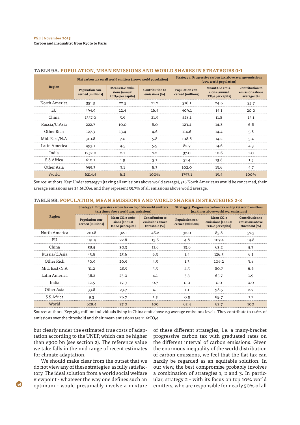#### **PSE | November 2015**

**Carbon and inequality: from Kyoto to Paris**

|               | Flat carbon tax on all world emitters (100% world population) |                                                                                |                                         | Strategy 1. Progressive carbon tax above average emissions<br>(27% world population) |                                                                                |                                                          |
|---------------|---------------------------------------------------------------|--------------------------------------------------------------------------------|-----------------------------------------|--------------------------------------------------------------------------------------|--------------------------------------------------------------------------------|----------------------------------------------------------|
| Region        | Population con-<br>cerned (millions)                          | MeanCO <sub>2</sub> e emis-<br>sions (annual<br>tCO <sub>2</sub> e per capita) | <b>Contribution to</b><br>emissions (%) | Population con-<br>cerned (millions)                                                 | MeanCO <sub>2</sub> e emis-<br>sions (annual<br>tCO <sub>2</sub> e per capital | <b>Contribution to</b><br>emissions above<br>average (%) |
| North America | 351.3                                                         | 22.5                                                                           | 21.2                                    | 316.1                                                                                | 24.6                                                                           | 35.7                                                     |
| EU            | 494.9                                                         | 12.4                                                                           | 16.4                                    | 409.1                                                                                | 14.1                                                                           | 20.0                                                     |
| China         | 1357.0                                                        | 5.9                                                                            | 21.5                                    | 428.1                                                                                | 11.8                                                                           | 15.1                                                     |
| Russia/C.Asia | 222.7                                                         | 10.0                                                                           | 6.0                                     | 123.4                                                                                | 14.8                                                                           | 6.6                                                      |
| Other Rich    | 127.3                                                         | 13.4                                                                           | 4.6                                     | 114.6                                                                                | 14.4                                                                           | 5.8                                                      |
| Mid. East/N.A | 310.8                                                         | 7.0                                                                            | 5.8                                     | 108.8                                                                                | 14.2                                                                           | 5.4                                                      |
| Latin America | 493.1                                                         | 4.5                                                                            | 5.9                                     | 82.7                                                                                 | 14.6                                                                           | 4.3                                                      |
| India         | 1252.0                                                        | 2.1                                                                            | 7.2                                     | 37.0                                                                                 | 10.6                                                                           | 1.0                                                      |
| S.S.Africa    | 610.1                                                         | 1.9                                                                            | 3.1                                     | 31.4                                                                                 | 13.8                                                                           | 1.5                                                      |
| Other Asia    | 995.3                                                         | 3.1                                                                            | 8.3                                     | 102.0                                                                                | 13.6                                                                           | 4.7                                                      |
| World         | 6214.4                                                        | 6.2                                                                            | 100%                                    | 1753.1                                                                               | 15.4                                                                           | 100%                                                     |

#### **TABLE 9A. POPULATION, MEAN EMISSIONS AND WORLD SHARES IN STRATEGIES 0-1**

Source: authors. Key: Under strategy 1 (taxing all emissions above world average), 316 North Americans would be concerned, their average emissions are 24.6tCO<sub>2</sub>e, and they represent 35.7% of all emissions above world average.

|               | Strategy 2. Progressive carbon tax on top 10% world emitters<br>(2.3 times above world avg. emissions) |                                                                      |                                                            | Strategy 3. Progressive carbon tax on top 1% world emitters<br>(9.1 times above world avg. emissions) |                                                                               |                                                            |
|---------------|--------------------------------------------------------------------------------------------------------|----------------------------------------------------------------------|------------------------------------------------------------|-------------------------------------------------------------------------------------------------------|-------------------------------------------------------------------------------|------------------------------------------------------------|
| Region        | Population con-<br>cerned (millions)                                                                   | Mean CO <sub>2</sub> e emis-<br>sions (annual<br>$tCO2e$ per capita) | <b>Contribution to</b><br>emissions above<br>threshold (%) | Population con-<br>cerned (millions)                                                                  | Mean CO <sub>2</sub> e<br>emissions (annual<br>tCO <sub>2</sub> e per capital | <b>Contribution to</b><br>emissions above<br>threshold (%) |
| North America | 210.8                                                                                                  | 32.1                                                                 | 46.2                                                       | 32.0                                                                                                  | 85.8                                                                          | 57.3                                                       |
| EU            | 141.4                                                                                                  | 22.8                                                                 | 15.6                                                       | 4.8                                                                                                   | 107.4                                                                         | 14.8                                                       |
| China         | 58.5                                                                                                   | 30.3                                                                 | 11.6                                                       | 13.6                                                                                                  | 63.2                                                                          | 5.7                                                        |
| Russia/C.Asia | 43.8                                                                                                   | 25.6                                                                 | 6.3                                                        | 1.4                                                                                                   | 126.5                                                                         | 6.1                                                        |
| Other Rich    | 50.9                                                                                                   | 20.9                                                                 | 4.5                                                        | 1.3                                                                                                   | 106.2                                                                         | 3.8                                                        |
| Mid. East/N.A | 31.2                                                                                                   | 28.5                                                                 | 5.5                                                        | 4.5                                                                                                   | 80.7                                                                          | 6.6                                                        |
| Latin America | 36.2                                                                                                   | 23.0                                                                 | 4.1                                                        | 3.3                                                                                                   | 65.7                                                                          | 1.9                                                        |
| India         | 12.5                                                                                                   | 17.9                                                                 | 0.7                                                        | 0.0                                                                                                   | 0.0                                                                           | n.n                                                        |
| Other Asia    | 33.8                                                                                                   | 23.7                                                                 | 4.1                                                        | 1.1                                                                                                   | 98.5                                                                          | 2.7                                                        |
| S.S.Africa    | 9.3                                                                                                    | 26.7                                                                 | 1.5                                                        | 0.5                                                                                                   | 89.7                                                                          | 1.1                                                        |
| World         | 628.4                                                                                                  | 27.0                                                                 | 100                                                        | 62.4                                                                                                  | 82.7                                                                          | 100                                                        |

#### **TABLE 9B. POPULATION, MEAN EMISSIONS AND WORLD SHARES IN STRATEGIES 2-3**

Source: authors. Key: 58.5 million individuals living in China emit above 2.3 average emissions levels. They contribute to 11.6% of emissions over the threshold and their mean emissions are  $11.6tCO<sub>2</sub>e$ .

but clearly under the estimated true costs of adaptation according to the UNEP, which can be higher than  $\epsilon$ 300 bn (see section 2). The reference value we take falls in the mid range of recent estimates for climate adaptation.

We should make clear from the outset that we do not view any of these strategies as fully satisfactory. The ideal solution from a world social welfare viewpoint - whatever the way one defnes such an optimum - would presumably involve a mixture

**36**

of these diferent strategies, i.e. a many-bracket progressive carbon tax with graduated rates on the diferent interval of carbon emissions. Given the enormous inequality of the world distribution of carbon emissions, we feel that the fat tax can hardly be regarded as an equitable solution. In our view, the best compromise probably involves a combination of strategies 1, 2 and 3. In particular, strategy 2 - with its focus on top 10% world emitters, who are responsible for nearly 50% of all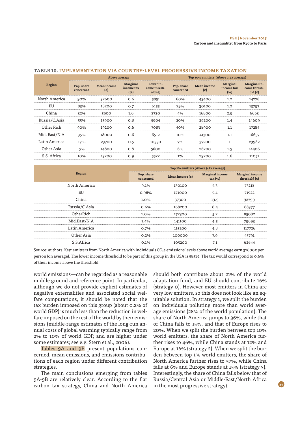|               | Above average           |                                    |                                      | Top 10% emitters (Above 2.3x average)         |                         |                           |                                          |                                           |
|---------------|-------------------------|------------------------------------|--------------------------------------|-----------------------------------------------|-------------------------|---------------------------|------------------------------------------|-------------------------------------------|
| Region        | Pop. share<br>concerned | <b>Mean income</b><br>$(\epsilon)$ | <b>Marginal</b><br>income tax<br>(%) | Lower in-<br>come thresh-<br>old $(\epsilon)$ | Pop. share<br>concerned | <b>Mean income</b><br>(€) | <b>Marginal</b><br>income tax<br>$(y_6)$ | Marginal in-<br>come thresh-<br>old $(€)$ |
| North America | 90%                     | 32600                              | 0.6                                  | 5851                                          | 60%                     | 43400                     | 1.2                                      | 14278                                     |
| EU            | 83%                     | 18200                              |                                      | 6155                                          | 29%                     | 30100                     | 1.2                                      | 13797                                     |
| China         | 32%                     | 5900                               | 1.6                                  | 2730                                          | 4%                      | 16800                     | 2.9                                      | 6663                                      |
| Russia/C.Asia | 55%                     | 15900                              | O.8                                  | 5904                                          | 20%                     | 29200                     | 1.4                                      | 14609                                     |
| Other Rich    | 90%                     | 19200                              | 0.6                                  | 7083                                          | 40%                     | 28900                     | 1.1                                      | 17284                                     |
| Mid. East/N.A | 35%                     | 18000                              | 0.6                                  | 6512                                          | 10%                     | 41300                     | 1.1                                      | 16657                                     |
| Latin America | 17%                     | 23700                              | 0.5                                  | 10330                                         | 7%                      | 37200                     |                                          | 23982                                     |
| Other Asia    | 5%                      | 14800                              | 0.8                                  | 5600                                          | 6%                      | 26200                     |                                          | 14406                                     |
| S.S. Africa   | 10%                     | 13200                              | 0.9                                  | 5522                                          | $1\%$                   | 29200                     | 1.6                                      | 11051                                     |

#### **TABLE 10. IMPLEMENTATION VIA COUNTRY-LEVEL PROGRESSIVE INCOME TAXATION**

|               | Top 1% emitters (Above 9.1x average) |                          |                                            |                                                  |  |  |  |
|---------------|--------------------------------------|--------------------------|--------------------------------------------|--------------------------------------------------|--|--|--|
| Region        | Pop. share<br>concerned              | Mean income $(\epsilon)$ | <b>Marginal income</b><br>$\text{tax}(% )$ | <b>Marginal income</b><br>threshold $(\epsilon)$ |  |  |  |
| North America | 9.1%                                 | 130100                   |                                            |                                                  |  |  |  |
| EU            | 0.96%                                | 171000                   | 5.4                                        | 71922                                            |  |  |  |
| China         | $1.0\%$                              | 37300                    | 13.9                                       | 32799                                            |  |  |  |
| Russia/C.Asia | ሰ 6%                                 | 168200                   |                                            |                                                  |  |  |  |
| OtherRich     | 1.0%                                 | 172300                   |                                            |                                                  |  |  |  |
| Mid.East/N.A  | 1.4%                                 | 141100                   |                                            | 79693                                            |  |  |  |
| Latin America | በ.7%                                 | 115200                   |                                            |                                                  |  |  |  |
| Other Asia    | 0.2%                                 | 100000                   |                                            |                                                  |  |  |  |
| S.S.Africa    | በ.1%                                 | 105200                   |                                            |                                                  |  |  |  |

Source: authors. Key: emitters from North America with individuals CO<sub>2</sub>e emissions levels above world average earn 32600€ per person (on average). The lower income threshold to be part of this group in the USA is 5851€. The tax would correspond to 0.6% of their income above the threshold.

world emissions—can be regarded as a reasonable middle ground and reference point. In particular, although we do not provide explicit estimates of negative externalities and associated social welfare computations, it should be noted that the tax burden imposed on this group (about 0.2% of world GDP) is much less than the reduction in welfare imposed on the rest of the world by their emissions (middle-range estimates of the long-run annual costs of global warming typically range from 2% to 10% of world GDP, and are higher under some estimates; see e.g. Stern et al., 2006).

Tables 9A and 9B present populations concerned, mean emissions, and emissions contributions of each region under diferent contribution strategies.

The main conclusions emerging from tables 9A-9B are relatively clear. According to the fat carbon tax strategy, China and North America

should both contribute about 21% of the world adaptation fund, and EU should contribute 16% (strategy 0). However most emitters in China are very low emitters, so this does not look like an equitable solution. In strategy 1, we split the burden on individuals polluting more than world average emissions (28% of the world population). The share of North America jumps to 36%, while that of China falls to 15%, and that of Europe rises to 20%. When we split the burden between top 10% world emitters, the share of North America further rises to 46%, while China stands at 12% and Europe at 16% (strategy 2). When we split the burden between top 1% world emitters, the share of North America further rises to 57%, while China falls at 6% and Europe stands at 15% (strategy 3). Interestingly, the share of China falls below that of Russia/Central Asia or Middle-East/North Africa in the most progressive strategy).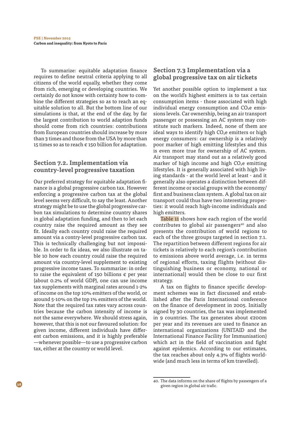To summarize: equitable adaptation fnance requires to defne neutral criteria applying to all citizens of the world equally, whether they come from rich, emerging or developing countries. We certainly do not know with certainty how to combine the diferent strategies so as to reach an equitable solution to all. But the bottom line of our simulations is that, at the end of the day, by far the largest contribution to world adaption funds should come from rich countries: contributions from European countries should increase by more than 3 times and those from the USA by more than 15 times so as to reach  $\in$  150 billion for adaptation.

## **Section 7.2. Implementation via country-level progressive taxation**

Our preferred strategy for equitable adaptation finance is a global progressive carbon tax. However enforcing a progressive carbon tax at the global level seems very difficult, to say the least. Another strategy might be to use the global progressive carbon tax simulations to determine country shares in global adaptation funding, and then to let each country raise the required amount as they see ft. Ideally each country could raise the required amount via a contry-level progressive carbon tax. This is technically challenging but not impossible. In order to fix ideas, we also illustrate on table 10 how each country could raise the required amount via country-level supplement to existing progressive income taxes. To summarize: in order to raise the equivalent of 150 billions  $\epsilon$  per year (about 0.2% of world GDP), one can use income tax supplements with marginal rates around 1-2% of income on the top 10% emitters of the world, or around 5-10% on the top 1% emitters of the world. Note that the required tax rates vary across countries because the carbon intensity of income is not the same everywhere. We should stress again, however, that this is not our favoured solution: for given income, diferent individuals have diferent carbon emissions, and it is highly preferable —whenever possible—to use a progressive carbon tax, either at the country or world level.

## **Section 7.3 Implementation via a global progressive tax on air tickets**

Yet another possible option to implement a tax on the world's highest emitters is to tax certain consumption items - those associated with high individual energy consumption and  $CO<sub>2</sub>e$  emissions levels. Car ownership, being an air transport passenger or possessing an AC system may constitute such markers. Indeed, none of them are ideal ways to identify high  $CO<sub>2</sub>e$  emitters or high energy consumers: car ownership is a relatively poor marker of high emitting lifestyles and this is even more true for ownership of AC system. Air transport may stand out as a relatively good marker of high income and high  $CO<sub>2</sub>e$  emitting lifestyles. It is generally associated with high living standards - at the world level at least - and it generally also operates a distinction between different income or social groups with the economy/ frst and business class system. A global tax on air transport could thus have two interesting properties: it would reach high-income individuals and high emitters.

Table 11 shows how each region of the world contributes to global air passengers<sup>40</sup> and also presents the contribution of world regions to each of the three groups targeted in section 7.1. The repartition between different regions for air tickets is relatively to each region's contribution to emissions above world average, i.e. in terms of regional efforts, taxing flights (without distinguishing business or economy, national or international) would then be close to our first strategy.

A tax on fights to fnance specifc development schemes was in fact discussed and established after the Paris International conference on the fnance of development in 2005. Initially signed by 30 countries, the tax was implemented in 9 countries. The tax generates about €200m per year and its revenues are used to fnance an international organizations (UNITAID and the International Finance Facility for Immunisation) which act in the field of vaccination and fight against epidemics. According to our estimates, the tax reaches about only 4.3% of fights worldwide (and much less in terms of km travelled).

<sup>40.</sup> The data informs on the share of fights by passengers of a given region in global air trafc.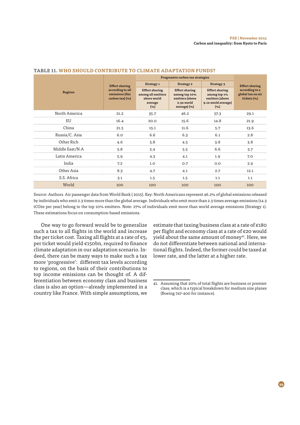|                 | <b>Effort sharing</b>                                  | Progressive carbon tax strategies                                            |                                                                                         |                                                                                          |                                                    |
|-----------------|--------------------------------------------------------|------------------------------------------------------------------------------|-----------------------------------------------------------------------------------------|------------------------------------------------------------------------------------------|----------------------------------------------------|
|                 |                                                        | Strategy <sub>1</sub>                                                        | <b>Strategy 2</b>                                                                       | <b>Strategy 3</b>                                                                        | <b>Effort sharing</b>                              |
| <b>Regions</b>  | according to all<br>emissions (flat<br>carbon tax) (%) | <b>Effort sharing</b><br>among all emitters<br>above world<br>average<br>(%) | <b>Effort sharing</b><br>among top 10%<br>emitters (above<br>2.3x world<br>average) (%) | <b>Effort sharing</b><br>among top 1%<br>emitters (above<br>9.1x world average)<br>(9/6) | according to a<br>global tax on air<br>tickets (%) |
| North America   | 21.2                                                   | 35.7                                                                         | 46.2                                                                                    | 57.3                                                                                     | 29.1                                               |
| EU              | 16.4                                                   | 20.0                                                                         | 15.6                                                                                    | 14.8                                                                                     | 21.9                                               |
| China           | 21.5                                                   | 15.1                                                                         | 11.6                                                                                    | 5.7                                                                                      | 13.6                                               |
| Russia/C. Asia  | 6.0                                                    | 6.6                                                                          | 6.3                                                                                     | 6.1                                                                                      | 2.8                                                |
| Other Rich      | 4.6                                                    | 5.8                                                                          | 4.5                                                                                     | 3.8                                                                                      | 3.8                                                |
| Middle East/N.A | 5.8                                                    | 5.4                                                                          | 5.5                                                                                     | 6.6                                                                                      | 5.7                                                |
| Latin America   | 5.9                                                    | 4.3                                                                          | 4.1                                                                                     | 1.9                                                                                      | 7.0                                                |
| India           | 7.2                                                    | 1.0                                                                          | 0.7                                                                                     | 0.0                                                                                      | 2.9                                                |
| Other Asia      | 8.3                                                    | 4.7                                                                          | 4.1                                                                                     | 2.7                                                                                      | 12.1                                               |
| S.S. Africa     | 3.1                                                    | 1.5                                                                          | 1.5                                                                                     | 1.1                                                                                      | 1.1                                                |
| World           | 100                                                    | 100                                                                          | 100                                                                                     | 100                                                                                      | 100                                                |

#### **TABLE 11. WHO SHOULD CONTRIBUTE TO CLIMATE ADAPTATION FUNDS?**

Source: Authors. Air passenger data from World Bank ( 2015). Key: North Americans represent 46.2% of global emissions released by individuals who emit 2.3 times more than the global average. Individuals who emit more than 2.3 times average emissions (14.3 tCO2e per year) belong to the top 10% emitters. Note: 27% of individuals emit more than world average emissions (Strategy 1). These estimations focus on consumption-based emissions.

One way to go forward would be to generalize such a tax to all fights in the world and increase the per ticket cost. Taxing all flights at a rate of  $\epsilon_{52}$ per ticket would yield €150bn, required to fnance climate adaptation in our adaptation scenario. Indeed, there can be many ways to make such a tax more 'progressive': diferent tax levels according to regions, on the basis of their contributions to top income emissions can be thought of. A differentiation between economy class and business class is also an option—already implemented in a country like France. With simple assumptions, we

estimate that taxing business class at a rate of €180 per fight and economy class at a rate of €20 would yield about the same amount of money<sup>41</sup>. Here, we do not diferentiate between national and international fights. Indeed, the former could be taxed at lower rate, and the latter at a higher rate.

<sup>41.</sup> Assuming that 20% of total fights are business or premier class, which is a typical breakdown for medium size planes (Boeing 747-400 for instance).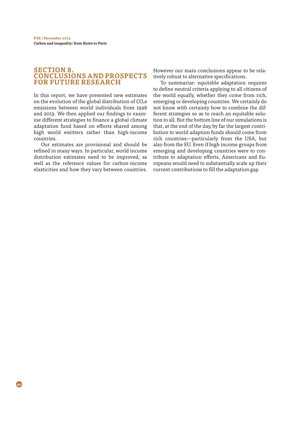## **SECTION 8. CONCLUSIONS AND PROSPECTS FOR FUTURE RESEARCH**

In this report, we have presented new estimates on the evolution of the global distribution of  $CO<sub>2</sub>e$ emissions between world individuals from 1998 and 2013. We then applied our fndings to examine diferent strategies to fnance a global climate adaptation fund based on efforts shared among high world emitters rather than high-income countries.

Our estimates are provisional and should be refned in many ways. In particular, world income distribution estimates need to be improved, as well as the reference values for carbon-income elasticities and how they vary between countries.

**40**

However our main conclusions appear to be relatively robust to alternative specifcations.

To summarize: equitable adaptation requires to defne neutral criteria applying to all citizens of the world equally, whether they come from rich, emerging or developing countries. We certainly do not know with certainty how to combine the different strategies so as to reach an equitable solution to all. But the bottom line of our simulations is that, at the end of the day, by far the largest contribution to world adaption funds should come from rich countries—particularly from the USA, but also from the EU. Even if high income groups from emerging and developing countries were to contribute to adaptation efforts, Americans and Europeans would need to substantially scale up their current contributions to fll the adaptation gap.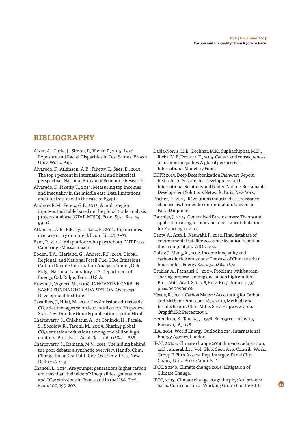## **BIBLIOGRAPHY**

- Aizer, A., Curie, J., Simon, P., Vivier, P., 2015. Lead Exposure and Racial Disparities in Test Scores. Brown Univ. Work. Pap.
- Alvaredo, F., Atkinson, A.B., Piketty, T., Saez, E., 2013. The top 1 percent in international and historical perspective. National Bureau of Economic Research.
- Alvaredo, F., Piketty, T., 2014. Measuring top incomes and inequality in the middle east: Data limitations and illustration with the case of Egypt.
- Andrew, R.M., Peters, G.P., 2013. A multi-region input–output table based on the global trade analysis project database (GTAP-MRIO). Econ. Syst. Res. 25, 99–121.
- Atkinson, A.B., Piketty, T., Saez, E., 2011. Top incomes over a century or more. J. Econ. Lit. 49, 3–71.
- Baer, P., 2006. Adaptation: who pays whom. MIT Press, Cambridge Massachusetts.
- Boden, T.A., Marland, G., Andres, R.J., 2015. Global, Regional, and National Fossil-Fuel CO<sub>2</sub>e Emissions. Carbon Dioxide Information Analysis Center, Oak Ridge National Laboratory, U.S. Department of Energy, Oak Ridge, Tenn., U.S.A.
- Brown, J., Vigneri, M., 2008. INNOVATIVE CARBON-BASED FUNDING FOR ADAPTATION. Overseas Development Institute.
- Cavailhes, J., Hilal, M., 2012. Les émissions directes de CO2e des ménages selon leur localisation. Httpwww Stat. Dev.-Durable Gouv Frpublicationscpoint Html.
- Chakravarty, S., Chikkatur, A., de Coninck, H., Pacala, S., Socolow, R., Tavoni, M., 2009. Sharing global  $CO<sub>2</sub>e$  emission reductions among one billion high emitters. Proc. Natl. Acad. Sci. 106, 11884–11888.
- Chakravarty, S., Ramana, M.V., 2011. The hiding behind the poor debate: a synthetic overview. Handb. Clim. Change India Dev. Polit. Gov. Oxf. Univ. Press New Delhi 218–229.
- Chancel, L., 2014. Are younger generations higher carbon emitters than their elders?: Inequalities, generations and  $CO<sub>2</sub>e$  emissions in France and in the USA. Ecol. Econ. 100, 195–207.
- Dabla-Norris, M.E., Kochhar, M.K., Suphaphiphat, M.N., Ricka, M.F., Tsounta, E., 2015. Causes and consequences of income inequality: A global perspective. International Monetary Fund.
- DDPP, 2015. Deep Decarbonization Pathways Report. Institute for Sustainable Development and International Relations and United Nations Sustainable Development Solutions Network, Paris, New York.
- Flacher, D., 2003. Révolutions industrielles, croissance et nouvelles formes de consommation. Université Paris-Dauphine.
- Fournier, J., 2015. Generalized Pareto curves: Theory and application using income and inheritance tabulations for France 1901-2012.
- Genty, A., Arto, I., Neuwahl, F., 2012. Final database of environmental satellite accounts: technical report on their compilation. WIOD Doc.
- Golley, J., Meng, X., 2012. Income inequality and carbon dioxide emissions: The case of Chinese urban households. Energy Econ. 34, 1864–1872.
- Grubler, A., Pachauri, S., 2009. Problems with burdensharing proposal among one billion high emitters. Proc. Natl. Acad. Sci. 106, E122–E123. doi:10.1073/ pnas.0909994106
- Heede, R., 2014. Carbon Majors: Accounting for Carbon and Methane Emissions 1854-2010, Methods and Results Report. Clim. Mitig. Serv. Httpwww Clim. OrgpdfMRR Percent209 1.
- Herendeen, R., Tanaka, J., 1976. Energy cost of living. Energy 1, 165–178.
- IEA, 2014. World Energy Outlook 2014. International Energy Agency, London.
- IPCC, 2014a. Climate change 2014: Impacts, adaptation, and vulnerability. Vol. Glob. Sect. Asp. Contrib. Work. Group II Fifth Assess. Rep. Intergov. Panel Clim. Chang. Univ. Press Camb. N. Y.
- IPCC, 2014b. Climate change 2014: Mitigation of Climate Change.
- IPCC, 2013. Climate change 2013: the physical science basis. Contribution of Working Group I to the Fifth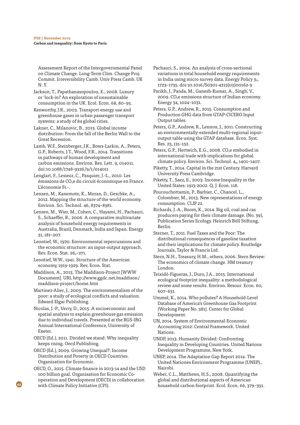Assessment Report of the Intergovernmental Panel on Climate Change. Long-Term Clim. Change Proj. Commit. Irreversibility Camb. Univ Press Camb. UK N. Y.

- Jackson, T., Papathanasopoulou, E., 2008. Luxury or 'lock-in? An exploration of unsustainable consumption in the UK. Ecol. Econ. 68, 80–95.
- Kenworthy, J.R., 2003. Transport energy use and greenhouse gases in urban passenger transport systems: a study of 84 global cities.
- Lakner, C., Milanovic, B., 2013. Global income distribution: From the fall of the Berlin Wall to the Great Recession.
- Lamb, W.F., Steinberger, J.K., Bows-Larkin, A., Peters, G.P., Roberts, J.T., Wood, F.R., 2014. Transitions in pathways of human development and carbon emissions. Environ. Res. Lett. 9, 014011. doi:10.1088/1748-9326/9/1/014011
- Lenglart, F., Lesieur, C., Pasquier, J.-L., 2010. Les émissions de CO<sub>2</sub>e du circuit économique en France. L'économie Fr.-.
- Lenzen, M., Kanemoto, K., Moran, D., Geschke, A., 2012. Mapping the structure of the world economy. Environ. Sci. Technol. 46, 8374–8381.
- Lenzen, M., Wier, M., Cohen, C., Hayami, H., Pachauri, S., Schaeffer, R., 2006. A comparative multivariate analysis of household energy requirements in Australia, Brazil, Denmark, India and Japan. Energy 31, 181–207.
- Leontief, W., 1970. Environmental repercussions and the economic structure: an input-output approach. Rev. Econ. Stat.  $26<sub>2</sub>$ -271.
- Leontief, W.W., 1941. Structure of the American economy, 1919-1929. Rev. Econ. Stat.
- Maddison, A., 2013. The Maddison-Project [WWW Document]. URL http://www.ggdc.net/maddison/ maddison-project/home.htm
- Martinez-Alier, J., 2003. The environmentalism of the poor: a study of ecological conficts and valuation. Edward Elgar Publishing.
- Nicolas, J.-P., Verry, D., 2015. A socioeconomic and spatial analysis to explain greenhouse gas emission due to individual travels. Presented at the RGS-IBG Annual International Conference, University of Exeter.
- OECD (Ed.), 2011. Divided we stand: Why inequality keeps rising. Oecd Publishing.
- OECD (Ed.), 2009. Growing Unequal?: Income Distribution and Poverty in OECD Countries. Organization for Economic.

**42**

OECD, O., 2015. Climate fnance in 2013-14 and the USD 100 billion goal. Organisation for Economic Cooperation and Development (OECD) in collaboration with Climate Policy Initiative (CPI).

- Pachauri, S., 2004. An analysis of cross-sectional variations in total household energy requirements in India using micro survey data. Energy Policy 32, 1723–1735. doi:10.1016/S0301-4215(03)00162-9
- Parikh, J., Panda, M., Ganesh-Kumar, A., Singh, V., 2009.  $CO<sub>2</sub>e$  emissions structure of Indian economy. Energy 34, 1024–1031.
- Peters, G.P., Andrew, R., 2015. Consumption and Production GHG data from GTAP-CICERO Input Output tables.
- Peters, G.P., Andrew, R., Lennox, J., 2011. Constructing an environmentally-extended multi-regional input– output table using the GTAP database. Econ. Syst. Res. 23, 131–152.
- Peters, G.P., Hertwich, E.G., 2008. CO<sub>2</sub>e embodied in international trade with implications for global climate policy. Environ. Sci. Technol. 42, 1401-1407.
- Piketty, T., 2014. Capital in the 21st Century. Harvard University Press Cambridge.
- Piketty, T., Saez, E., 2003. Income Inequality in the United States: 1913-2002. Q. J. Econ. 118.
- Pourouchottamin, P., Barbier, C., Chancel, L., Colombier, M., 2013. New representations of energy consumption. CLIP 22.
- Richards, J.-A., Boom, K., 2014. Big oil, coal and cas producers paying for their climate damage. (No. 39), Publication Series Ecology. Heinrich Böll Stiftung, Berlin.
- Sterner, T., 2011. Fuel Taxes and the Poor: The distributional consequences of gasoline taxation and their implications for climate policy. Routledge Journals, Taylor & Francis Ltd.
- Stern, N.H., Treasury, H.M., others, 2006. Stern Review: The economics of climate change. HM treasury London.
- Teixidó-Figueras, J., Duro, J.A., 2015. International ecological footprint inequality: a methodological review and some results. Environ. Resour. Econ. 60, 607–631.
- Ummel, K., 2014. Who pollutes? A Household-Level Database of America's Greenhouse Gas Footprint (Working Paper No. 381). Center for Global Development.
- UN, 2014. System of Environmental-Economic Accounting 2012: Central Framework. United Nations.
- UNDP, 2013. Humanity Divided: Confronting Inequality in Developing Countries. United Nations Development Programme, New Yotk.
- UNEP, 2014. The Adaptation Gap Report 2014. The United Nationes Environment Programme (UNEP)., Nairobi.
- Weber, C.L., Matthews, H.S., 2008. Quantifying the global and distributional aspects of American household carbon footprint. Ecol. Econ. 66, 379–391.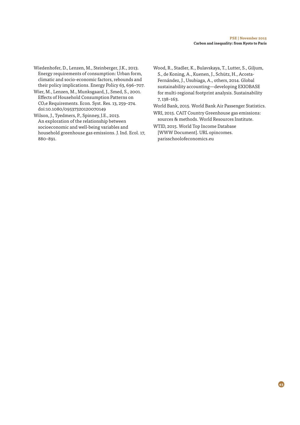Wiedenhofer, D., Lenzen, M., Steinberger, J.K., 2013. Energy requirements of consumption: Urban form, climatic and socio-economic factors, rebounds and their policy implications. Energy Policy 63, 696–707.

Wier, M., Lenzen, M., Munksgaard, J., Smed, S., 2001. Efects of Household Consumption Patterns on CO<sub>2</sub>e Requirements. Econ. Syst. Res. 13, 259-274. doi:10.1080/09537320120070149

Wilson, J., Tyedmers, P., Spinney, J.E., 2013. An exploration of the relationship between socioeconomic and well-being variables and household greenhouse gas emissions. J. Ind. Ecol. 17, 880–891.

Wood, R., Stadler, K., Bulavskaya, T., Lutter, S., Giljum, S., de Koning, A., Kuenen, J., Schütz, H., Acosta-Fernández, J., Usubiaga, A., others, 2014. Global sustainability accounting—developing EXIOBASE for multi-regional footprint analysis. Sustainability 7, 138–163.

World Bank, 2015. World Bank Air Passenger Statistics.

- WRI, 2015. CAIT Country Greenhouse gas emissions: sources & methods. World Resources Institute.
- WTID, 2015. World Top Income Database [WWW Document]. URL opincomes. parisschoolofeconomics.eu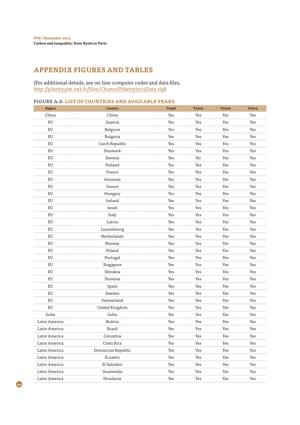## **APPENDIX FIGURES AND TABLES**

#### (For additional details, see on-line computer codes and data fles, http://piketty.pse.ens.fr/fles/ChancelPiketty2015Data.zip)

## **FIGURE A.0. LIST OF COUNTRIES AND AVAILABLE YEARS**

| Region        | Country            | Y1998 | <b>Y2003</b> | <b>Y2008</b> | Y2013 |
|---------------|--------------------|-------|--------------|--------------|-------|
| China         | China              | Yes   | Yes          | Yes          | Yes   |
| EU            | Austria            | Yes   | Yes          | Yes          | Yes   |
| EU            | Belgium            | Yes   | Yes          | Yes          | Yes   |
| EU            | Bulgaria           | Yes   | Yes          | Yes          | Yes   |
| EU            | Czech Republic     | Yes   | Yes          | Yes          | Yes   |
| EU            | Denmark            | Yes   | Yes          | Yes          | Yes   |
| EU            | Estonia            | Yes   | No           | Yes          | Yes   |
| EU            | Finland            | Yes   | Yes          | Yes          | Yes   |
| EU            | France             | Yes   | Yes          | Yes          | Yes   |
| EU            | Germany            | Yes   | Yes          | Yes          | Yes   |
| EU            | Greece             | Yes   | Yes          | Yes          | Yes   |
| EU            | Hungary            | Yes   | Yes          | Yes          | Yes   |
| EU            | Ireland            | Yes   | Yes          | Yes          | Yes   |
| EU            | Israel             | Yes   | Yes          | Yes          | Yes   |
| EU            | Italy              | Yes   | Yes          | Yes          | Yes   |
| EU            | Latvia             | Yes   | Yes          | Yes          | Yes   |
| EU            | Luxembourg         | Yes   | Yes          | Yes          | Yes   |
| EU            | Netherlands        | Yes   | Yes          | Yes          | Yes   |
| EU            | Norway             | Yes   | Yes          | Yes          | Yes   |
| EU            | Poland             | Yes   | Yes          | Yes          | Yes   |
| EU            | Portugal           | Yes   | Yes          | Yes          | Yes   |
| EU            | Singapore          | Yes   | Yes          | Yes          | Yes   |
| EU            | Slovakia           | Yes   | Yes          | Yes          | Yes   |
| EU            | Slovenia           | Yes   | Yes          | Yes          | Yes   |
| EU            | Spain              | Yes   | Yes          | Yes          | Yes   |
| EU            | Sweden             | Yes   | Yes          | Yes          | Yes   |
| EU            | Switzerland        | Yes   | Yes          | Yes          | Yes   |
| EU            | United Kingdom     | Yes   | Yes          | Yes          | Yes   |
| India         | India              | Yes   | Yes          | Yes          | Yes   |
| Latin America | <b>Bolivia</b>     | Yes   | Yes          | Yes          | Yes   |
| Latin America | Brazil             | Yes   | Yes          | Yes          | Yes   |
| Latin America | Colombia           | Yes   | Yes          | Yes          | Yes   |
| Latin America | Costa Rica         | Yes   | Yes          | Yes          | Yes   |
| Latin America | Dominican Republic | Yes   | Yes          | Yes          | Yes   |
| Latin America | Ecuador            | Yes   | Yes          | Yes          | Yes   |
| Latin America | El Salvador        | Yes   | Yes          | Yes          | Yes   |
| Latin America | Guatemala          | Yes   | Yes          | Yes          | Yes   |
| Latin America | Honduras           | Yes   | Yes          | Yes          | Yes   |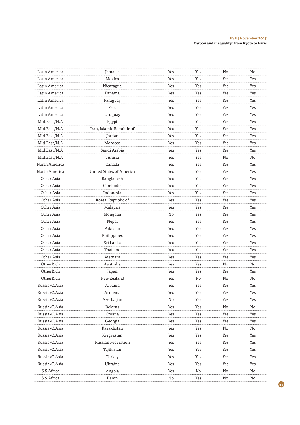| Latin America | Jamaica                         | Yes | Yes | No  | No  |
|---------------|---------------------------------|-----|-----|-----|-----|
| Latin America | Mexico                          | Yes | Yes | Yes | Yes |
| Latin America | Nicaragua                       | Yes | Yes | Yes | Yes |
| Latin America | Panama                          | Yes | Yes | Yes | Yes |
| Latin America | Paraguay                        | Yes | Yes | Yes | Yes |
| Latin America | Peru                            | Yes | Yes | Yes | Yes |
| Latin America | Uruguay                         | Yes | Yes | Yes | Yes |
| Mid.East/N.A  | Egypt                           | Yes | Yes | Yes | Yes |
| Mid.East/N.A  | Iran, Islamic Republic of       | Yes | Yes | Yes | Yes |
| Mid.East/N.A  | Jordan                          | Yes | Yes | Yes | Yes |
| Mid.East/N.A  | Morocco                         | Yes | Yes | Yes | Yes |
| Mid.East/N.A  | Saudi Arabia                    | Yes | Yes | Yes | Yes |
| Mid.East/N.A  | Tunisia                         | Yes | Yes | No  | No  |
| North America | Canada                          | Yes | Yes | Yes | Yes |
| North America | <b>United States of America</b> | Yes | Yes | Yes | Yes |
| Other Asia    | Bangladesh                      | Yes | Yes | Yes | Yes |
| Other Asia    | Cambodia                        | Yes | Yes | Yes | Yes |
| Other Asia    | Indonesia                       | Yes | Yes | Yes | Yes |
| Other Asia    | Korea, Republic of              | Yes | Yes | Yes | Yes |
| Other Asia    | Malaysia                        | Yes | Yes | Yes | Yes |
| Other Asia    | Mongolia                        | No  | Yes | Yes | Yes |
| Other Asia    | Nepal                           | Yes | Yes | Yes | Yes |
| Other Asia    | Pakistan                        | Yes | Yes | Yes | Yes |
| Other Asia    | Philippines                     | Yes | Yes | Yes | Yes |
| Other Asia    | Sri Lanka                       | Yes | Yes | Yes | Yes |
| Other Asia    | Thailand                        | Yes | Yes | Yes | Yes |
| Other Asia    | Vietnam                         | Yes | Yes | Yes | Yes |
| OtherRich     | Australia                       | Yes | Yes | No  | No  |
| OtherRich     | Japan                           | Yes | Yes | Yes | Yes |
| OtherRich     | New Zealand                     | Yes | No  | No  | No  |
| Russia/C.Asia | Albania                         | Yes | Yes | Yes | Yes |
| Russia/C.Asia | Armenia                         | Yes | Yes | Yes | Yes |
| Russia/C.Asia | Azerbaijan                      | No  | Yes | Yes | Yes |
| Russia/C.Asia | <b>Belarus</b>                  | Yes | Yes | No  | No  |
| Russia/C.Asia | Croatia                         | Yes | Yes | Yes | Yes |
| Russia/C.Asia | Georgia                         | Yes | Yes | Yes | Yes |
| Russia/C.Asia | Kazakhstan                      | Yes | Yes | No  | No  |
| Russia/C.Asia | Kyrgyzstan                      | Yes | Yes | Yes | Yes |
| Russia/C.Asia | Russian Federation              | Yes | Yes | Yes | Yes |
| Russia/C.Asia | Tajikistan                      | Yes | Yes | Yes | Yes |
| Russia/C.Asia | Turkey                          | Yes | Yes | Yes | Yes |
| Russia/C.Asia | Ukraine                         | Yes | Yes | Yes | Yes |
| S.S.Africa    | Angola                          | Yes | No  | No  | No  |
| S.S.Africa    | Benin                           | No  | Yes | No  | No  |
|               |                                 |     |     |     |     |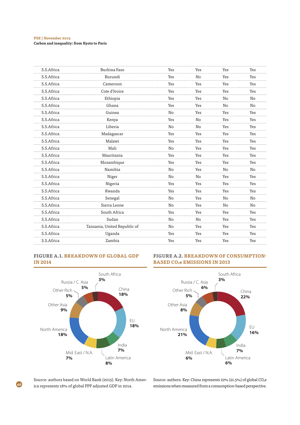| S.S.Africa | Burkina Faso                 | Yes | Yes | Yes | Yes            |
|------------|------------------------------|-----|-----|-----|----------------|
| S.S.Africa | Burundi                      | Yes | No  | Yes | Yes            |
| S.S.Africa | Cameroon                     | Yes | Yes | Yes | Yes            |
| S.S.Africa | Cote d'Ivoire                | Yes | Yes | Yes | Yes            |
| S.S.Africa | Ethiopia                     | Yes | Yes | No  | No             |
| S.S.Africa | Ghana                        | Yes | Yes | No  | N <sub>o</sub> |
| S.S.Africa | Guinea                       | No  | Yes | Yes | Yes            |
| S.S.Africa | Kenya                        | Yes | No  | Yes | Yes            |
| S.S.Africa | Liberia                      | No  | No  | Yes | Yes            |
| S.S.Africa | Madagascar                   | Yes | Yes | Yes | Yes            |
| S.S.Africa | Malawi                       | Yes | Yes | Yes | Yes            |
| S.S.Africa | Mali                         | No  | Yes | Yes | Yes            |
| S.S.Africa | Mauritania                   | Yes | Yes | Yes | Yes            |
| S.S.Africa | Mozambique                   | Yes | Yes | Yes | Yes            |
| S.S.Africa | Namibia                      | No  | Yes | No  | N <sub>o</sub> |
| S.S.Africa | Niger                        | No  | No  | Yes | Yes            |
| S.S.Africa | Nigeria                      | Yes | Yes | Yes | Yes            |
| S.S.Africa | Rwanda                       | Yes | Yes | Yes | Yes            |
| S.S.Africa | Senegal                      | No  | Yes | No  | N <sub>o</sub> |
| S.S.Africa | Sierra Leone                 | No  | Yes | No  | No             |
| S.S.Africa | South Africa                 | Yes | Yes | Yes | Yes            |
| S.S.Africa | Sudan                        | No  | No  | Yes | Yes            |
| S.S.Africa | Tanzania, United Republic of | No  | Yes | Yes | Yes            |
| S.S.Africa | Uganda                       | Yes | Yes | Yes | Yes            |
| S.S.Africa | Zambia                       | Yes | Yes | Yes | Yes            |

### **FIGURE A.1. BREAKDOWN OF GLOBAL GDP IN 2014**







Source: authors based on World Bank (2015). Key: North America represents 18% of global PPP adjusted GDP in 2014.

Source: authors. Key: China represents 22% (21.5%) of global CO<sub>2</sub>e emissions when measured from a consumption-based perspective.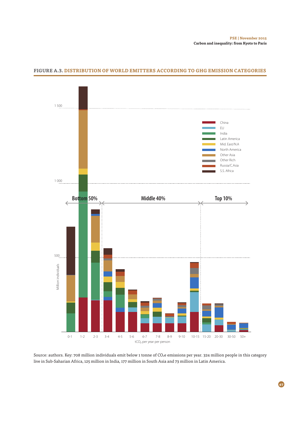

## **FIGURE A.3. DISTRIBUTION OF WORLD EMITTERS ACCORDING TO GHG EMISSION CATEGORIES**

Source: authors. Key: 708 million individuals emit below 1 tonne of CO<sub>2</sub>e emissions per year. 324 million people in this category live in Sub-Saharian Africa, 125 million in India, 177 million in South Asia and 73 million in Latin America.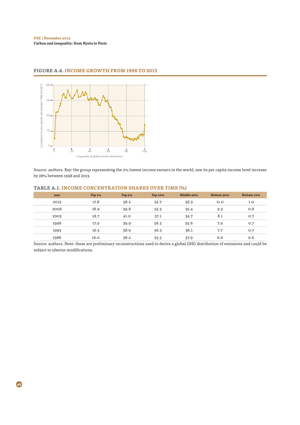

## **FIGURE A.4. INCOME GROWTH FROM 1998 TO 2013**

Source: authors. Key: the group representing the 2% lowest income earners in the world, saw its per capita income level increase by 28% between 1998 and 2013.

#### **TABLE A.1. INCOME CONCENTRATION SHARES OVER TIME (%)**

| year | ິເop 1% | <b>OD 5%</b> | Top 10% | Middle 40% | Bottom 50% | Bottom 10% |
|------|---------|--------------|---------|------------|------------|------------|
| 2013 | 17.8    | 38.2         | 52.7    | 36.3       | 11.ດ       |            |
| 2008 | 18.4    | 39.8         | 55.3    | 35.4       |            |            |
| 2003 | 18.5    | 41.O         | 57.1    | 34.7       |            |            |
|      | 17.9    | 39.9         | 56.5    | 35.6       |            |            |
|      | 16 F    | $-38 -$      | 56.3    | 36.1       |            |            |
|      | 16 (    | 38.2         | 55.5    | 37.9       |            |            |

Source: authors. Note: these are preliminary reconstructions used to derive a global GHG distribution of emissions and could be subject to ulterior modifcations.